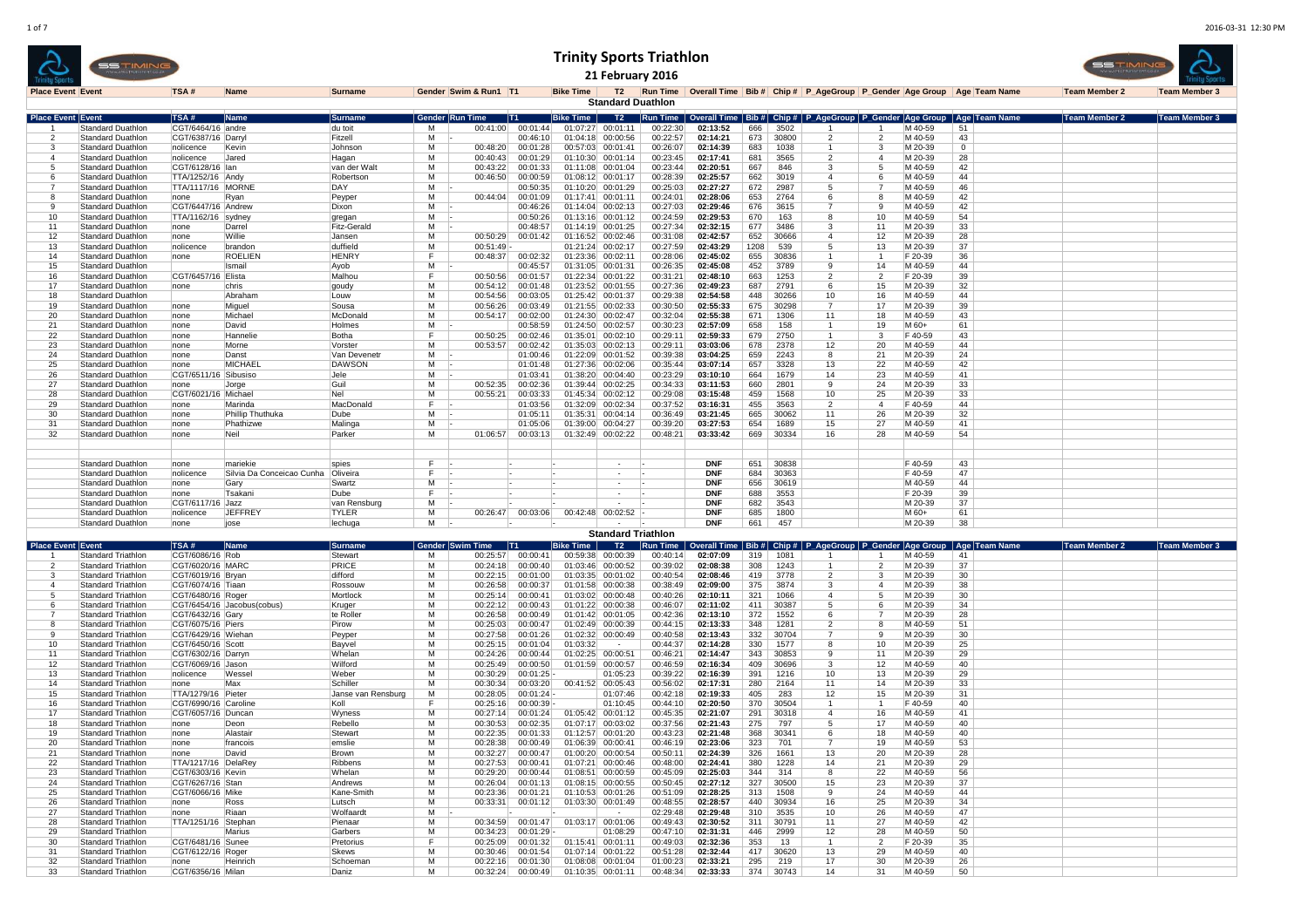|                          |                                                        | <b>SSTIMIN</b> |                                         |                            |                           |             |                            |                      |                         | 21 February 2016                                         | <b>Trinity Sports Triathlon</b> |                          |            |                     |                                                                                                     |                      |                    |                      | <b>BSTIMI</b>        |                      |
|--------------------------|--------------------------------------------------------|----------------|-----------------------------------------|----------------------------|---------------------------|-------------|----------------------------|----------------------|-------------------------|----------------------------------------------------------|---------------------------------|--------------------------|------------|---------------------|-----------------------------------------------------------------------------------------------------|----------------------|--------------------|----------------------|----------------------|----------------------|
| <b>Place Event Event</b> |                                                        |                | TSA#                                    | Name                       | <b>Surname</b>            |             | Gender Swim & Run1   T1    |                      | <b>Bike Time</b>        | T2<br><b>Standard Duathlon</b>                           |                                 |                          |            |                     | Run Time Overall Time Bib # Chip # P AgeGroup P Gender Age Group Age Team Name                      |                      |                    |                      | <b>Team Member 2</b> | <b>Team Member 3</b> |
| <b>Place Event Event</b> |                                                        |                | TSA#                                    | <b>Name</b>                | Surnam                    |             | Gender Run Time<br>- 1T1 - |                      | Bike Time               | T2                                                       |                                 |                          |            |                     | <u>lun Time   Overall Time   Bib #   Chip #   P_AgeGroup   P_Gender  Age Group   Age  Team Name</u> |                      |                    |                      | Team Member 2        | Team Member 3        |
|                          | <b>Standard Duathlon</b>                               |                | CGT/6464/16 andre                       |                            | du toit                   | м           | 00:41:00                   | 00:01:44             |                         | 01:07:27 00:01:11                                        | 00:22:30                        | 02:13:52                 | 666        | 3502                |                                                                                                     |                      | M 40-59            | 51                   |                      |                      |
|                          | Standard Duathlon<br>Standard Duathlon                 |                | CGT/6387/16 Darryl<br>nolicence         | Kevir                      | Fitzell<br>Johnson        | м<br>м      | 00:48:20                   | 00:46:10<br>00:01:28 |                         | 01:04:18 00:00:56<br>00:57:03 00:01:41                   | 00:22:57<br>00:26:07            | 02:14:21<br>02:14:39     | 673<br>683 | 30800<br>1038       | $\overline{2}$<br>$\overline{1}$                                                                    | $\overline{2}$<br>-3 | M 40-59<br>M 20-39 | 43<br>$\mathbf{0}$   |                      |                      |
|                          | Standard Duathlon                                      |                | nolicence                               | Jared                      | Hagan                     | M           | 00:40:43                   | 00:01:29             | 01:10:30                | 00:01:14                                                 | 00:23:45                        | 02:17:41                 | 681        | 3565                | $\overline{2}$                                                                                      | $\mathbf{A}$         | M 20-39            | 28                   |                      |                      |
|                          | Standard Duathlon                                      |                | CGT/6128/16   lan                       |                            | van der Walt              | M           | 00:43:22                   | 00:01:33             | 01:11:08                | 00:01:04                                                 | 00:23:44                        | 02:20:51                 | 667        | 846                 | 3                                                                                                   |                      | M 40-59            | 42                   |                      |                      |
|                          | Standard Duathlon                                      |                | TTA/1252/16 Andy                        |                            | Robertsor                 | м           | 00:46:50                   | 00:00:59             |                         | 01:08:12 00:01:17                                        | 00:28:39                        | 02:25:57                 | 662        | 3019                | $\overline{4}$                                                                                      |                      | M 40-59            | 44                   |                      |                      |
|                          | Standard Duathlon                                      |                | <b>TTA/1117/16 MORNE</b>                |                            | DAY                       | м           |                            | 00:50:35             |                         | 01:10:20 00:01:29                                        | 00:25:03                        | 02:27:27                 | 672        | 2987                | 5                                                                                                   |                      | M 40-59            | 46                   |                      |                      |
|                          | <b>Standard Duathlon</b><br><b>Standard Duathlon</b>   |                | none<br>CGT/6447/16 Andrew              | Ryan                       | Peyper<br>Dixon           | м<br>м      | 00:44:04                   | 00:01:09<br>00:46:26 | 01:17:41                | 00:01:11<br>01:14:04 00:02:13                            | 00:24:01<br>00:27:03            | 02:28:06<br>02:29:46     | 653<br>676 | 2764<br>3615        | 6<br>7                                                                                              | <b>q</b>             | M 40-59<br>M 40-59 | 42<br>42             |                      |                      |
| 10                       | Standard Duathlon                                      |                | TTA/1162/16   sydney                    |                            | gregan                    | м           |                            | 00:50:26             | 01:13:16                | 00:01:12                                                 | 00:24:59                        | 02:29:53                 | 670        | 163                 | 8                                                                                                   | 10                   | M 40-59            | 54                   |                      |                      |
| 11                       | Standard Duathlon                                      |                | none                                    | Darrel                     | <b>Fitz-Gerald</b>        | м           |                            | 00:48:57             | 01:14:19                | 00:01:25                                                 | 00:27:34                        | 02:32:15                 | 677        | 3486                | 3                                                                                                   | 11                   | M 20-39            | 33                   |                      |                      |
| 12                       | Standard Duathlon                                      |                | Inone                                   | Willie                     | Janser                    | м           | 00:50:29                   | 00:01:42             | 01:16:52                | 00:02:46                                                 | 00:31:08                        | 02:42:57                 | 652        | 30666               | $\mathbf{A}$                                                                                        | 12                   | M 20-39            | 28                   |                      |                      |
| 13                       | Standard Duathlon<br>Standard Duathlon                 |                | Inolicence                              | brandon                    | duffield                  | M<br>F      | 00:51:49                   |                      | 01:21:24                | 00:02:17                                                 | 00:27:59                        | 02:43:29                 | 1208       | 539                 | 5                                                                                                   | 13                   | M 20-39            | 37                   |                      |                      |
| 14<br>15                 | Standard Duathlon                                      |                | Inone                                   | <b>ROELIEN</b><br>Ismai    | <b>HENRY</b><br>Ayob      | М           | 00:48:37                   | 00:02:32<br>00:45:57 | 01:23:36                | 00:02:11<br>01:31:05 00:01:31                            | 00:28:06<br>00:26:35            | 02:45:02<br>02:45:08     | 655<br>452 | 30836<br>3789       | $\mathbf{1}$<br>9                                                                                   | 14                   | F 20-39<br>M 40-59 | 36<br>44             |                      |                      |
| 16                       | <b>Standard Duathlon</b>                               |                | CGT/6457/16 Elista                      |                            | Malhou                    | F           | 00:50:56                   | 00:01:57             |                         | 01:22:34 00:01:22                                        | 00:31:21                        | 02:48:10                 | 663        | 1253                | $\overline{2}$                                                                                      | $\overline{2}$       | F 20-39            | 39                   |                      |                      |
| 17                       | Standard Duathlon                                      |                | Inone                                   | chris                      | goudy                     | М           | 00:54:12                   | 00:01:48             |                         | 01:23:52 00:01:55                                        | 00:27:36                        | 02:49:23                 | 687        | 2791                | 6                                                                                                   | 15                   | M 20-39            | 32                   |                      |                      |
| 18                       | Standard Duathlon                                      |                |                                         | Abraham                    | Louw                      | м           | 00:54:56                   | 00:03:05             |                         | 01:25:42 00:01:37                                        | 00:29:38                        | 02:54:58                 | 448        | 30266               | 10                                                                                                  | 16                   | M 40-59            | 44                   |                      |                      |
| 19                       | Standard Duathlon                                      |                | none                                    | Miguel<br>Michael          | Sousa                     | м<br>м      | 00:56:26<br>00:54:17       | 00:03:49             |                         | 01:21:55 00:02:33                                        | 00:30:50                        | 02:55:33                 | 675<br>671 | 30298               | $\overline{7}$<br>11                                                                                | 17<br>18             | M 20-39            | 39<br>43             |                      |                      |
| 20<br>21                 | Standard Duathlon<br>Standard Duathlon                 |                | none<br>none                            | David                      | McDonald<br>Holmes        | M           |                            | 00:02:00<br>00:58:59 | 01:24:50                | 01:24:30 00:02:47<br>00:02:57                            | 00:32:04<br>00:30:23            | 02:55:38<br>02:57:09     | 658        | 1306<br>158         | $\overline{1}$                                                                                      | 19                   | M 40-59<br>M 60+   | 61                   |                      |                      |
| 22                       | Standard Duathlon                                      |                | none                                    | Hannelie                   | Botha                     | F           | 00:50:25                   | 00:02:46             | 01:35:01                | 00:02:10                                                 | 00:29:11                        | 02:59:33                 | 679        | 2750                | -1                                                                                                  |                      | F 40-59            | 43                   |                      |                      |
| 23                       | Standard Duathlon                                      |                | none                                    | Morne                      | Vorster                   | м           | 00:53:57                   | 00:02:42             |                         | 01:35:03 00:02:13                                        | 00:29:11                        | 03:03:06                 | 678        | 2378                | 12                                                                                                  | 20                   | M 40-59            | 44                   |                      |                      |
| 24                       | Standard Duathlon                                      |                | none                                    | Danst                      | Van Deveneti              | м           |                            | 01:00:46             | 01:22:09                | 00:01:52                                                 | 00:39:38                        | 03:04:25                 | 659        | 2243                | 8                                                                                                   | 21                   | M 20-39            | 24                   |                      |                      |
| 25                       | Standard Duathlon                                      |                | none                                    | <b>MICHAEI</b>             | <b>DAWSON</b>             | м           |                            | 01:01:48             |                         | 01:27:36 00:02:06                                        | 00:35:44                        | 03:07:14                 | 657        | 3328                | 13                                                                                                  | 22                   | M 40-59            | 42                   |                      |                      |
| 26<br>27                 | Standard Duathlon<br>Standard Duathlon                 |                | CGT/6511/16 Sibusiso<br>none            | Jorge                      | Jele<br>Guil              | м<br>м      | 00:52:35                   | 01:03:41<br>00:02:36 | 01:38:20<br>01:39:44    | 00:04:40<br>00:02:25                                     | 00:23:29<br>00:34:33            | 03:10:10<br>03:11:53     | 664<br>660 | 1679<br>2801        | 14<br>9                                                                                             | 23<br>24             | M 40-59<br>M 20-39 | 41<br>33             |                      |                      |
| 28                       | Standard Duathlon                                      |                | CGT/6021/16 Michael                     |                            | Nel                       | м           | 00:55:21                   | 00:03:33             | 01:45:34                | 00:02:12                                                 | 00:29:08                        | 03:15:48                 | 459        | 1568                | 10                                                                                                  | 25                   | M 20-39            | 33                   |                      |                      |
| 29                       | Standard Duathlon                                      |                | Inone                                   | Marinda                    | MacDonald                 | F           |                            | 01:03:56             | 01:32:09                | 00:02:34                                                 | 00:37:52                        | 03:16:31                 | 455        | 3563                | $\overline{2}$                                                                                      | $\mathbf{A}$         | F 40-59            | 44                   |                      |                      |
| 30                       | Standard Duathlon                                      |                | none                                    | Phillip Thuthuka           | Dube                      | М           |                            | 01:05:11             | 01:35:31                | 00:04:14                                                 | 00:36:49                        | 03:21:45                 | 665        | 30062               | 11                                                                                                  | 26                   | M 20-39            | 32                   |                      |                      |
| 31<br>32                 | Standard Duathlon<br>Standard Duathlon                 |                | none<br>none                            | Phathizwe<br>Neil          | Malinga<br>Parker         | м<br>м      | 01:06:57                   | 01:05:06<br>00:03:13 | 01:39:00                | 00:04:27<br>01:32:49 00:02:22                            | 00:39:20<br>00:48:21            | 03:27:53<br>03:33:42     | 654<br>669 | 1689<br>30334       | 15<br>16                                                                                            | 27<br>28             | M 40-59<br>M 40-59 | 41<br>54             |                      |                      |
|                          |                                                        |                |                                         |                            |                           |             |                            |                      |                         |                                                          |                                 |                          |            |                     |                                                                                                     |                      |                    |                      |                      |                      |
|                          |                                                        |                |                                         |                            |                           |             |                            |                      |                         |                                                          |                                 |                          |            |                     |                                                                                                     |                      |                    |                      |                      |                      |
|                          | <b>Standard Duathlon</b>                               |                | none                                    | mariekie                   | spies                     | F.<br>- 14  |                            |                      |                         |                                                          |                                 | <b>DNF</b>               | 651        | 30838               |                                                                                                     |                      | F 40-59            | 43                   |                      |                      |
|                          | <b>Standard Duathlon</b><br><b>Standard Duathlon</b>   |                | nolicence<br>none                       | Silvia Da Conceicao Cunha  | Oliveira<br>Swartz        | F<br>м      |                            |                      |                         |                                                          |                                 | DNF<br><b>DNF</b>        | 684<br>656 | 30363<br>30619      |                                                                                                     |                      | F 40-59<br>M 40-59 | 47<br>44             |                      |                      |
|                          | Standard Duathlon                                      |                | none                                    | Gary<br>Tsakani            | Dube                      | F           |                            |                      |                         |                                                          |                                 | <b>DNF</b>               | 688        | 3553                |                                                                                                     |                      | F 20-39            | 39                   |                      |                      |
|                          | Standard Duathlon                                      |                | CGT/6117/16 Jazz                        |                            | van Rensburg              | м           |                            |                      |                         |                                                          |                                 | <b>DNF</b>               | 682        | 3543                |                                                                                                     |                      | M 20-39            | 37                   |                      |                      |
|                          | <b>Standard Duathlon</b>                               |                | nolicence                               | JEFFREY                    | <b>TYLER</b>              | м           | 00:26:47                   | 00:03:06             |                         | 00:42:48 00:02:52                                        |                                 | <b>DNF</b>               | 685        | 1800                |                                                                                                     |                      | M 60+              | 61                   |                      |                      |
|                          | Standard Duathlon                                      |                | none                                    | jose                       | lechuga                   | М           |                            |                      |                         |                                                          |                                 | <b>DNF</b>               | 661        | 457                 |                                                                                                     |                      | M 20-39            | 38                   |                      |                      |
|                          |                                                        |                |                                         |                            |                           |             |                            |                      |                         | <b>Standard Triathlon</b>                                |                                 |                          |            |                     |                                                                                                     |                      |                    |                      |                      |                      |
| <b>Place Event Event</b> | Standard Triathlon                                     |                | TSA#<br>CGT/6086/16 Rob                 | Name                       | <b>Surname</b><br>Stewart | Gender<br>м | im Time<br>00:25:57        | - IT1.<br>00:00:41   | Bike Time  <br>00:59:38 | T2<br>00:00:39                                           | un Time<br>00:40:14             | Overall Time<br>02:07:09 | 319        | Bib# Chip# <br>1081 | P_AgeGroup   P_Gender   Age Grou                                                                    |                      | M 40-59            | Age  Team Name<br>41 | <b>Team Member 2</b> | Team Member 3        |
|                          | <b>Standard Triathlon</b>                              |                | CGT/6020/16 MARC                        |                            | PRICE                     | M           | 00:24:18                   | 00:00:40             |                         | 01:03:46 00:00:52                                        | 00:39:02                        | 02:08:38                 | 308        | 1243                | -1                                                                                                  | 2                    | M 20-39            | 37                   |                      |                      |
|                          | <b>Standard Triathlon</b>                              |                | CGT/6019/16 Bryan                       |                            | difford                   | м           | 00:22:15                   | 00:01:00             |                         | 01:03:35 00:01:02                                        | 00:40:54                        | 02:08:46                 | 419        | 3778                | 2                                                                                                   | -3                   | M 20-39            | 30                   |                      |                      |
|                          | <b>Standard Triathlon</b>                              |                | CGT/6074/16 Tiaan                       |                            | Rossouw                   | м           | 00:26:58                   | 00:00:37             |                         | 01:01:58 00:00:38                                        | 00:38:49                        | 02:09:00                 | 375        | 3874                | 3                                                                                                   | $\overline{4}$       | M 20-39            | 38                   |                      |                      |
|                          | <b>Standard Triathlon</b>                              |                | CGT/6480/16 Roger                       |                            | Mortlock                  | м<br>M      | 00:25:14                   | 00:00:41             |                         | 01:03:02 00:00:48                                        | 00:40:26                        | 02:10:11                 | 321        | 1066                | $\overline{4}$<br>5                                                                                 | -5                   | M 20-39            | 30                   |                      |                      |
|                          | Standard Triathlon<br><b>Standard Triathlon</b>        |                | CGT/6432/16 Gary                        | CGT/6454/16 Jacobus(cobus) | Kruger<br>te Roller       | M           | 00:22:12<br>00:26:58       | 00:00:43<br>00:00:49 | 01:01:42                | 01:01:22 00:00:38<br>00:01:05                            | 00:46:07<br>00:42:36            | 02:11:02<br>02:13:10     | 411<br>372 | 30387<br>1552       | 6                                                                                                   | -6                   | M 20-39<br>M 20-39 | 34<br>28             |                      |                      |
|                          | <b>Standard Triathlon</b>                              |                | CGT/6075/16 Piers                       |                            | Pirow                     | м           | 00:25:03                   | 00:00:47             |                         | 01:02:49 00:00:39                                        | 00:44:15                        | 02:13:33                 | 348        | 1281                | $\overline{2}$                                                                                      | -8                   | M 40-59            | 51                   |                      |                      |
|                          | <b>Standard Triathlon</b>                              |                | CGT/6429/16 Wiehan                      |                            | Peyper                    | м           | 00:27:58                   | 00:01:26             |                         | 01:02:32 00:00:49                                        | 00:40:58                        | 02:13:43                 | 332        | 30704               | $\overline{7}$                                                                                      | - q                  | M 20-39            | 30                   |                      |                      |
| 10                       | Standard Triathlon                                     |                | CGT/6450/16 Scott                       |                            | Bayvel                    | М           | 00:25:15                   | 00:01:04             | 01:03:32                | $\sim$                                                   | 00:44:37                        | 02:14:28                 | 330        | 1577                | 8                                                                                                   | 10                   | M 20-39            | 25                   |                      |                      |
| 11<br>12                 | <b>Standard Triathlon</b><br><b>Standard Triathlon</b> |                | CGT/6302/16 Darryn<br>CGT/6069/16 Jason |                            | Whelar<br>Wilford         | м<br>м      | 00:24:26<br>00:25:49       | 00:00:44<br>00:00:50 |                         | 01:02:25 00:00:51<br>01:01:59 00:00:57                   | 00:46:21<br>00:46:59            | 02:14:47<br>02:16:34     | 343<br>409 | 30853<br>30696      | 9<br>3                                                                                              | 11<br>12             | M 20-39<br>M 40-59 | 29<br>40             |                      |                      |
| 13                       | <b>Standard Triathlon</b>                              |                | Inolicence                              | Wesse                      | Weber                     | м           | 00:30:29                   | 00:01:25             |                         | 01:05:23                                                 | 00:39:22                        | 02:16:39                 | 391        | 1216                | 10                                                                                                  | 13                   | M 20-39            | 29                   |                      |                      |
| 14                       | Standard Triathlon                                     |                | Inone                                   | Max                        | Schiller                  | M           | 00:30:34                   | 00:03:20             |                         | 00:41:52 00:05:43                                        | 00:56:02                        | 02:17:31                 | 280        | 2164                | 11                                                                                                  | 14                   | M 20-39            | 33                   |                      |                      |
| 15                       | <b>Standard Triathlon</b>                              |                | TTA/1279/16                             | Pieter                     | Janse van Rensburg        | м           | 00:28:05                   | 00:01:24             |                         | 01:07:46                                                 | 00:42:18                        | 02:19:33                 | 405        | 283                 | 12                                                                                                  | 15                   | M 20-39            | 31                   |                      |                      |
| 16                       | <b>Standard Triathlon</b>                              |                | CGT/6990/16 Caroline                    |                            | Koll                      | F           | 00:25:16                   | 00:00:39             |                         | 01:10:45                                                 | 00:44:10                        | 02:20:50                 | 370        | 30504               | $\mathbf{1}$                                                                                        |                      | F 40-59            | 40                   |                      |                      |
| 17<br>18                 | Standard Triathlon<br><b>Standard Triathlon</b>        |                | CGT/6057/16 Duncan<br>Inone             | Deon                       | Wyness<br>Rebello         | м<br>M      | 00:27:14<br>00:30:53       | 00:01:24<br>00:02:35 | 01:05:42                | 00:01:12<br>01:07:17 00:03:02                            | 00:45:35<br>00:37:56            | 02:21:07<br>02:21:43     | 291<br>275 | 30318<br>797        | $\overline{4}$<br>5                                                                                 | 16<br>17             | M 40-59<br>M 40-59 | 41<br>40             |                      |                      |
| 19                       | <b>Standard Triathlon</b>                              |                | none                                    | Alastair                   | Stewar                    | М           | 00:22:35                   | 00:01:33             |                         | 01:12:57 00:01:20                                        | 00:43:23                        | 02:21:48                 | 368        | 30341               | 6                                                                                                   | 18                   | M 40-59            | 40                   |                      |                      |
| 20                       | <b>Standard Triathlon</b>                              |                | none                                    | francois                   | emslie                    | м           | 00:28:38                   |                      |                         | 00:00:49 01:06:39 00:00:41                               | 00:46:19                        | 02:23:06                 | 323        | 701                 |                                                                                                     | 19                   | M 40-59            | 53                   |                      |                      |
| 21                       | Standard Triathlon                                     |                | none                                    | David                      | Brown                     | м           | 00:32:27                   | 00:00:47             |                         | 01:00:20 00:00:54                                        | 00:50:11                        | 02:24:39                 | 326        | 1661                | 13                                                                                                  | 20                   | M 20-39            | 28                   |                      |                      |
| 22<br>23                 | Standard Triathlon                                     |                | TTA/1217/16 DelaRey                     |                            | Ribbens                   | м<br>M      | 00:27:53                   | 00:00:41             |                         | 01:07:21 00:00:46                                        | 00:48:00                        | 02:24:41<br>02:25:03     | 380        | 1228                | 14<br>8                                                                                             | 21<br>22             | M 20-39<br>M 40-59 | 29<br>56             |                      |                      |
| 24                       | Standard Triathlon<br>Standard Triathlon               |                | CGT/6303/16 Kevin<br>CGT/6267/16 Stan   |                            | Whelan<br>Andrews         | М           | 00:29:20                   | 00:00:44             |                         | 01:08:51 00:00:59<br>00:26:04 00:01:13 01:08:15 00:00:55 | 00:45:09<br>00:50:45            | 02:27:12                 | 344<br>327 | 314<br>30500        | 15                                                                                                  | 23                   | M 20-39            | 37                   |                      |                      |
| 25                       | Standard Triathlon                                     |                | CGT/6066/16 Mike                        |                            | Kane-Smith                | м           |                            |                      |                         | 00:23:36 00:01:21 01:10:53 00:01:26                      | 00:51:09                        | 02:28:25                 | 313        | 1508                | 9                                                                                                   | 24                   | M 40-59            | 44                   |                      |                      |
| 26                       | Standard Triathlon                                     |                | none                                    | Ross                       | Lutsch                    | м           |                            |                      |                         | 00:33:31 00:01:12 01:03:30 00:01:49                      | 00:48:55                        | 02:28:57                 |            | 440 30934           | 16                                                                                                  | 25                   | M 20-39            | 34                   |                      |                      |
| 27                       | Standard Triathlon                                     |                | none                                    | Riaan                      | Wolfaardt                 | M           |                            |                      | $\sim$                  | <b>Contract</b>                                          | 02:29:48                        | 02:29:48                 |            | $310$ 3535          | 10                                                                                                  | 26                   | M 40-59            | 47                   |                      |                      |
| 28<br>29                 | Standard Triathlon<br>Standard Triathlon               |                | TTA/1251/16 Stephan                     | Marius                     | Pienaar<br>Garbers        | м<br>М      | 00:34:23                   | 00:01:29             |                         | 00:34:59 00:01:47 01:03:17 00:01:06<br>01:08:29          | 00:49:43<br>00:47:10            | 02:30:52<br>02:31:31     | 446        | $311$ 30791<br>2999 | 11<br>12                                                                                            | 27<br>28             | M 40-59<br>M 40-59 | 42<br>50             |                      |                      |
| 30                       | Standard Triathlon                                     |                | CGT/6481/16 Sunee                       |                            | Pretorius                 | F.          | 00:25:09                   |                      |                         | 00:01:32 01:15:41 00:01:11                               | 00:49:03                        | 02:32:36                 | 353        | 13                  | $\overline{1}$                                                                                      | $\overline{2}$       | F 20-39            | 35                   |                      |                      |
| 31                       | Standard Triathlon                                     |                | CGT/6122/16 Roger                       |                            | Skews                     | M           | 00:30:46                   | 00:01:54             |                         | 01:07:14 00:01:22                                        | 00:51:28                        | 02:32:44                 | 417        | 30620               | 13                                                                                                  | 29                   | M 40-59            | 40                   |                      |                      |
| 32                       | Standard Triathlon                                     |                | none Heinrich                           |                            | Schoeman                  | М           | 00:22:16                   | 00:01:30             |                         | 01:08:08 00:01:04                                        | 01:00:23                        | 02:33:21                 | 295        | 219                 | 17                                                                                                  | 30                   | M 20-39            | 26                   |                      |                      |
| 33                       | Standard Triathlon                                     |                | CGT/6356/16 Milan                       |                            | Daniz                     | м           |                            |                      |                         | 00:32:24 00:00:49 01:10:35 00:01:11                      | 00:48:34                        | 02:33:33                 |            | 374 30743           | 14                                                                                                  | 31                   | M 40-59            | 50                   |                      |                      |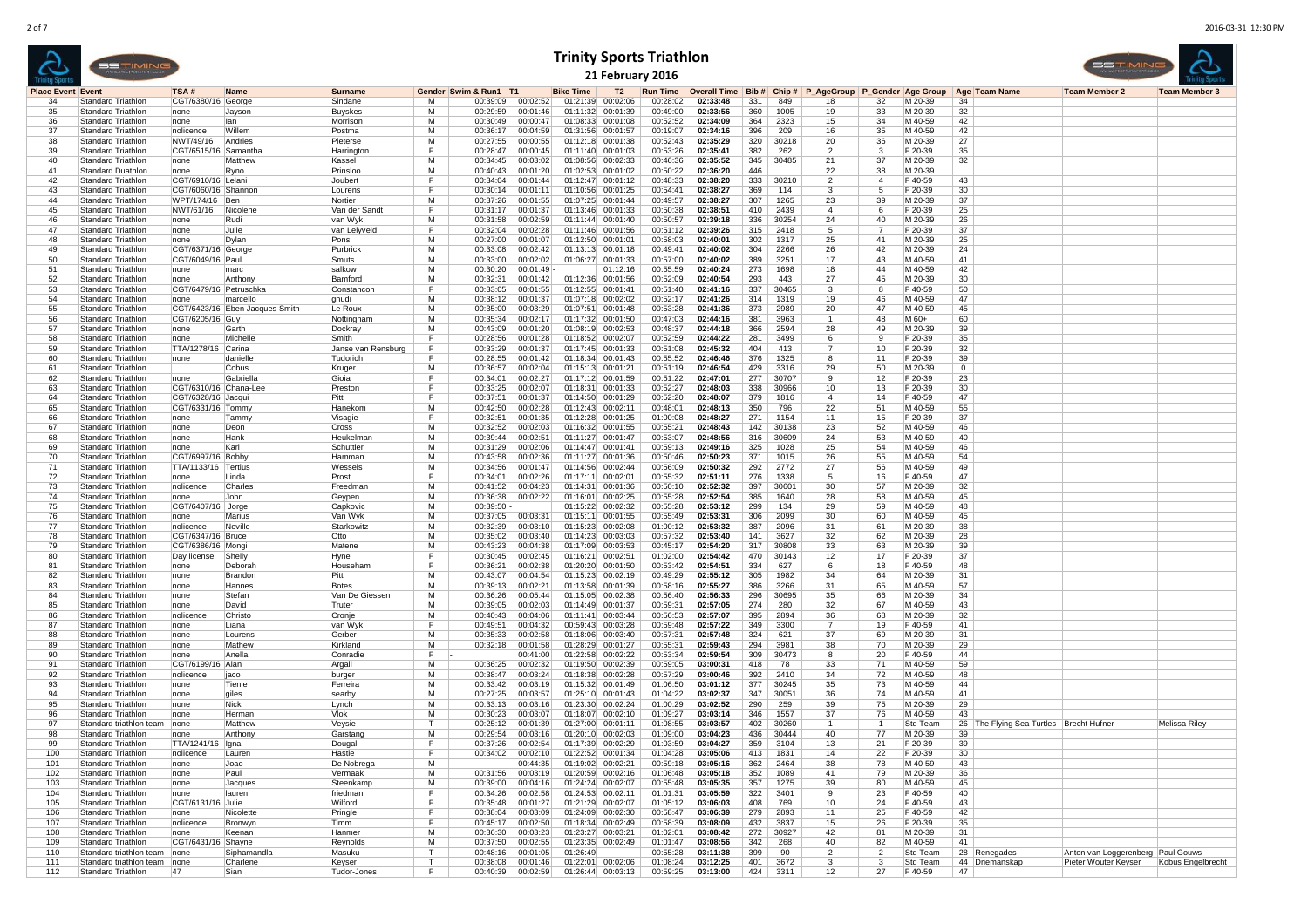|                          |                                                        | SSTIMIN                      | <b>Trinity Sports Triathlon</b><br>21 February 2016<br>Gender Swim & Run1 T1<br>Overall Time Bib # Chip # P AgeGroup P Gender Age Group   Age Team Name<br>TSA #<br>Name<br><b>Surname</b><br><b>Bike Time</b><br>Т2<br><b>Run Time</b> |                                |                         |                         |                      |                      |                                        |                   |                      |                      |            |                |                      |                      |                     |                                         |                                   |                      |
|--------------------------|--------------------------------------------------------|------------------------------|-----------------------------------------------------------------------------------------------------------------------------------------------------------------------------------------------------------------------------------------|--------------------------------|-------------------------|-------------------------|----------------------|----------------------|----------------------------------------|-------------------|----------------------|----------------------|------------|----------------|----------------------|----------------------|---------------------|-----------------------------------------|-----------------------------------|----------------------|
| <b>Place Event Event</b> |                                                        |                              |                                                                                                                                                                                                                                         |                                |                         |                         |                      |                      |                                        |                   |                      |                      |            |                |                      |                      |                     |                                         | <b>Team Member 2</b>              | <b>Team Member 3</b> |
| 34                       | <b>Standard Triathlon</b>                              |                              | CGT/6380/16 George                                                                                                                                                                                                                      |                                | Sindane                 | м                       | 00:39:09             | 00:02:52             | 01:21:39                               | 00:02:06          | 00:28:02             | 02:33:48             | 331        | 849            | 18                   | 32                   | M 20-39             | 34                                      |                                   |                      |
| 35                       | <b>Standard Triathlor</b>                              |                              | none                                                                                                                                                                                                                                    | Jayson                         | Buyskes                 | M                       | 00:29:59             | 00:01:46             | 01:11:32                               | 00:01:39          | 00:49:00             | 02:33:56             | 360        | 1005           | 19                   | 33                   | M 20-39             | 32                                      |                                   |                      |
| 36                       | Standard Triathlon                                     |                              | none                                                                                                                                                                                                                                    | llan                           | Morrison                | м                       | 00:30:49             | 00:00:47             | 01:08:33                               | 00:01:08          | 00:52:52             | 02:34:09             | 364        | 2323           | 15                   | 34                   | M 40-59             | 42                                      |                                   |                      |
| 37                       | Standard Triathlor<br><b>Standard Triathlon</b>        |                              | nolicence                                                                                                                                                                                                                               | <b>Willem</b>                  | Postma                  | м<br>м                  | 00:36:17             | 00:04:59             | 01:31:56 00:01:57                      |                   | 00:19:07             | 02:34:16             | 396        | 209            | 16                   | 35                   | M 40-59             | 42                                      |                                   |                      |
| 38<br>39                 | Standard Triathlor                                     |                              | NWT/49/16<br>CGT/6515/16 Samantha                                                                                                                                                                                                       | Andries                        | Pieterse<br>Harrington  | F                       | 00:27:55<br>00:28:47 | 00:00:55<br>00:00:45 | 01:12:18 00:01:38<br>01:11:40 00:01:03 |                   | 00:52:43<br>00:53:26 | 02:35:29<br>02:35:41 | 320<br>382 | 30218<br>262   | 20<br>$\overline{2}$ | 36<br>3              | M 20-39<br>F 20-39  | 27<br>35                                |                                   |                      |
| 40                       | Standard Triathlon                                     |                              | none                                                                                                                                                                                                                                    | <b>Matthew</b>                 | Kassel                  | м                       | 00:34:45             | 00:03:02             | 01:08:56 00:02:33                      |                   | 00:46:36             | 02:35:52             | 345        | 30485          | 21                   | 37                   | M 20-39             | 32                                      |                                   |                      |
| 41                       | <b>Standard Duathlon</b>                               |                              | none                                                                                                                                                                                                                                    | <b>R</b> vno                   | Prinsloo                | м                       | 00:40:43             | 00:01:20             | 01:02:53 00:01:02                      |                   | 00:50:22             | 02:36:20             | 446        |                | 22                   | 38                   | M 20-39             |                                         |                                   |                      |
| 42                       | <b>Standard Triathlon</b>                              |                              | CGT/6910/16 Lelani                                                                                                                                                                                                                      |                                | Joubert                 | F                       | 00:34:04             | 00:01:44             | 01:12:47 00:01:12                      |                   | 00:48:33             | 02:38:20             | 333        | 30210          | 2                    | $\overline{4}$       | F 40-59             | 43                                      |                                   |                      |
| 43                       | <b>Standard Triathlon</b>                              |                              | CGT/6060/16 Shannor                                                                                                                                                                                                                     |                                | Lourens                 | F                       | 00:30:14             | 00:01:11             | 01:10:56 00:01:25                      |                   | 00:54:41             | 02:38:27             | 369        | 114            | -3                   | 5                    | F 20-39             | 30                                      |                                   |                      |
| 44                       | <b>Standard Triathlon</b>                              |                              | WPT/174/16 Ben                                                                                                                                                                                                                          |                                | Nortier                 | м                       | 00:37:26             | 00:01:55             | 01:07:25 00:01:44                      |                   | 00:49:57             | 02:38:27             | 307        | 1265           | 23                   | 39                   | M 20-39             | 37                                      |                                   |                      |
| 45                       | Standard Triathlon                                     |                              | NWT/61/16                                                                                                                                                                                                                               | Nicolene                       | Van der Sand            | F                       | 00:31:17             | 00:01:37             | 01:13:46 00:01:33                      |                   | 00:50:38             | 02:38:51             | 410        | 2439           | 4                    | 6                    | F 20-39             | 25                                      |                                   |                      |
| 46<br>47                 | <b>Standard Triathlon</b><br>Standard Triathlor        |                              | none<br>none                                                                                                                                                                                                                            | Rudi<br>Julie                  | van Wyk<br>van Lelyveld | м<br>F                  | 00:31:58<br>00:32:04 | 00:02:59<br>00:02:28 | 01:11:44 00:01:40<br>01:11:46 00:01:56 |                   | 00:50:57<br>00:51:12 | 02:39:18<br>02:39:26 | 336<br>315 | 30254<br>2418  | 24<br>-5             | 40                   | M 20-39<br>F 20-39  | 26<br>37                                |                                   |                      |
| 48                       | Standard Triathlor                                     |                              | none                                                                                                                                                                                                                                    | Dylan                          | Pons                    | м                       | 00:27:00             | 00:01:07             | 01:12:50 00:01:01                      |                   | 00:58:03             | 02:40:01             | 302        | 1317           | 25                   | 41                   | M 20-39             | 25                                      |                                   |                      |
| 49                       | <b>Standard Triathlon</b>                              |                              | CGT/6371/16 George                                                                                                                                                                                                                      |                                | Purbrick                | м                       | 00:33:08             | 00:02:42             | 01:13:13 00:01:18                      |                   | 00:49:41             | 02:40:02             | 304        | 2266           | 26                   | 42                   | M 20-39             | 24                                      |                                   |                      |
| 50                       | <b>Standard Triathlon</b>                              |                              | CGT/6049/16 Paul                                                                                                                                                                                                                        |                                | Smuts                   | м                       | 00:33:00             | 00:02:02             | 01:06:27 00:01:33                      |                   | 00:57:00             | 02:40:02             | 389        | 3251           | 17                   | 43                   | M 40-59             | 41                                      |                                   |                      |
| 51                       | <b>Standard Triathlon</b>                              |                              | none                                                                                                                                                                                                                                    | marc                           | salkow                  | M                       | 00:30:20             | 00:01:49             |                                        | 01:12:16          | 00:55:59             | 02:40:24             | 273        | 1698           | 18                   | 44                   | M 40-59             | 42                                      |                                   |                      |
| 52                       | Standard Triathlon                                     |                              | none                                                                                                                                                                                                                                    | Anthony                        | Bamford                 | м                       | 00:32:31             | 00:01:42             | 01:12:36 00:01:56                      |                   | 00:52:09             | 02:40:54             | 293        | 443            | 27                   | 45                   | M 20-39             | 30                                      |                                   |                      |
| 53                       | <b>Standard Triathlor</b>                              |                              | CGT/6479/16 Petruschka                                                                                                                                                                                                                  |                                | Constancor              | F                       | 00:33:05             | 00:01:55             | 01:12:55 00:01:41                      |                   | 00:51:40             | 02:41:16             | 337        | 30465          | 3                    | 8                    | F 40-59             | 50                                      |                                   |                      |
| 54<br>55                 | <b>Standard Triathlon</b><br>Standard Triathlor        |                              | none                                                                                                                                                                                                                                    | marcello                       | gnudi                   | м<br>M                  | 00:38:12             | 00:01:37             | 01:07:18 00:02:02                      |                   | 00:52:17<br>00:53:28 | 02:41:26             | 314        | 1319<br>2989   | 19                   | 46<br>47             | M 40-59<br>M 40-59  | 47                                      |                                   |                      |
| 56                       | Standard Triathlon                                     |                              | CGT/6205/16 Guy                                                                                                                                                                                                                         | CGT/6423/16 Eben Jacques Smith | Le Roux<br>Nottingham   | м                       | 00:35:00<br>00:35:34 | 00:03:29<br>00:02:17 | 01:07:51 00:01:48<br>01:17:32 00:01:50 |                   | 00:47:03             | 02:41:36<br>02:44:16 | 373<br>381 | 3963           | 20<br>-1             | 48                   | M 60+               | 45<br>60                                |                                   |                      |
| 57                       | Standard Triathlor                                     |                              | none                                                                                                                                                                                                                                    | Garth                          | Dockray                 | м                       | 00:43:09             | 00:01:20             | 01:08:19 00:02:53                      |                   | 00:48:37             | 02:44:18             | 366        | 2594           | 28                   | 49                   | M 20-39             | 39                                      |                                   |                      |
| 58                       | <b>Standard Triathlon</b>                              |                              | none                                                                                                                                                                                                                                    | Michelle                       | Smith                   | F                       | 00:28:56             | 00:01:28             | 01:18:52 00:02:07                      |                   | 00:52:59             | 02:44:22             | 281        | 3499           | -6                   | 9                    | F 20-39             | 35                                      |                                   |                      |
| 59                       | Standard Triathlon                                     |                              | TTA/1278/16 Carina                                                                                                                                                                                                                      |                                | Janse van Rensburg      | F                       | 00:33:29             | 00:01:37             | 01:17:45 00:01:33                      |                   | 00:51:08             | 02:45:32             | 404        | 413            |                      | 10                   | F 20-39             | 32                                      |                                   |                      |
| 60                       | Standard Triathlon                                     |                              | none                                                                                                                                                                                                                                    | danielle                       | Tudorich                | F                       | 00:28:55             | 00:01:42             | 01:18:34                               | 00:01:43          | 00:55:52             | 02:46:46             | 376        | 1325           |                      | 11                   | F 20-39             | 39                                      |                                   |                      |
| 61                       | Standard Triathlon                                     |                              |                                                                                                                                                                                                                                         | <b>Cobus</b>                   | Kruger                  | м                       | 00:36:57             | 00:02:04             | 01:15:13 00:01:21                      |                   | 00:51:19             | 02:46:54             | 429        | 3316           | 29                   | 50                   | M 20-39             | $\mathbf{0}$                            |                                   |                      |
| 62                       | <b>Standard Triathlon</b><br>Standard Triathlor        |                              | none                                                                                                                                                                                                                                    | Gabriella                      | Gioia                   | F<br>F                  | 00:34:01             | 00:02:27             | 01:17:12 00:01:59                      |                   | 00:51:22             | 02:47:01             | 277        | 30707          | 9                    | 12                   | F 20-39             | 23                                      |                                   |                      |
| 63<br>64                 | Standard Triathlor                                     |                              | CGT/6310/16 Chana-Lee<br>CGT/6328/16 Jacqui                                                                                                                                                                                             |                                | Preston<br>Pitt         | F                       | 00:33:25<br>00:37:51 | 00:02:07<br>00:01:37 | 01:18:31 00:01:33<br>01:14:50 00:01:29 |                   | 00:52:27<br>00:52:20 | 02:48:03<br>02:48:07 | 338<br>379 | 30966<br>1816  | 10<br>4              | 13<br>14             | F 20-39<br>F40-59   | 30<br>47                                |                                   |                      |
| 65                       | Standard Triathlor                                     |                              | CGT/6331/16 Tommy                                                                                                                                                                                                                       |                                | Hanekon                 | м                       | 00:42:50             | 00:02:28             | 01:12:43 00:02:11                      |                   | 00:48:01             | 02:48:13             | 350        | 796            | 22                   | 51                   | M 40-59             | 55                                      |                                   |                      |
| 66                       | <b>Standard Triathlon</b>                              |                              | none                                                                                                                                                                                                                                    | Tamm                           | Visagie                 | F.                      | 00:32:51             | 00:01:35             | 01:12:28 00:01:25                      |                   | 01:00:08             | 02:48:27             | 271        | 1154           | 11                   | 15                   | F 20-39             | 37                                      |                                   |                      |
| 67                       | <b>Standard Triathlon</b>                              |                              | none                                                                                                                                                                                                                                    | <b>Deon</b>                    | Cross                   | м                       | 00:32:52             | 00:02:03             | 01:16:32 00:01:55                      |                   | 00:55:21             | 02:48:43             | 142        | 30138          | 23                   | 52                   | M 40-59             | 46                                      |                                   |                      |
| 68                       | <b>Standard Triathlon</b>                              |                              | none                                                                                                                                                                                                                                    | Hank                           | Heukelmar               | M                       | 00:39:44             | 00:02:51             | 01:11:27 00:01:47                      |                   | 00:53:07             | 02:48:56             | 316        | 30609          | 24                   | 53                   | M 40-59             | 40                                      |                                   |                      |
| 69                       | Standard Triathlon                                     |                              | none                                                                                                                                                                                                                                    | Karl                           | Schuttler               | M                       | 00:31:29             | 00:02:06             | 01:14:47 00:01:41                      |                   | 00:59:13             | 02:49:16             | 325        | 1028           | 25                   | 54                   | M 40-59             | 46                                      |                                   |                      |
| 70<br>71                 | Standard Triathlor<br><b>Standard Triathlon</b>        |                              | CGT/6997/16 Bobby<br>TTA/1133/16 Tertius                                                                                                                                                                                                |                                | Hammar<br>Wessels       | м<br>м                  | 00:43:58<br>00:34:56 | 00:02:36<br>00:01:47 | 01:11:27 00:01:36<br>01:14:56 00:02:44 |                   | 00:50:46<br>00:56:09 | 02:50:23<br>02:50:32 | 371<br>292 | 1015<br>2772   | 26<br>27             | 55<br>56             | M 40-59<br>M 40-59  | 54<br>49                                |                                   |                      |
| 72                       | Standard Triathlor                                     |                              | none                                                                                                                                                                                                                                    | Linda                          | Prost                   | F                       | 00:34:01             | 00:02:26             | 01:17:11 00:02:01                      |                   | 00:55:32             | 02:51:11             | 276        | 1338           | -5                   | 16                   | F40-59              | 47                                      |                                   |                      |
| 73                       | Standard Triathlor                                     |                              | nolicence                                                                                                                                                                                                                               | Charles                        | Freedman                | м                       | 00:41:52             | 00:04:23             | 01:14:31 00:01:36                      |                   | 00:50:10             | 02:52:32             | 397        | 30601          | 30                   | 57                   | M 20-39             | 32                                      |                                   |                      |
| 74                       | <b>Standard Triathlon</b>                              |                              | none                                                                                                                                                                                                                                    | John                           | Geypen                  | м                       | 00:36:38             | 00:02:22             | 01:16:01 00:02:25                      |                   | 00:55:28             | 02:52:54             | 385        | 1640           | 28                   | 58                   | M 40-59             | 45                                      |                                   |                      |
| 75                       | <b>Standard Triathlon</b>                              |                              | CGT/6407/16 Jorge                                                                                                                                                                                                                       |                                | Capkovic                | м                       | 00:39:50             |                      | 01:15:22 00:02:32                      |                   | 00:55:28             | 02:53:12             | 299        | 134            | 29                   | 59                   | M 40-59             | 48                                      |                                   |                      |
| 76                       | Standard Triathlon                                     |                              | none                                                                                                                                                                                                                                    | Marius                         | Van Wyk                 | M                       | 00:37:05             | 00:03:31             | 01:15:11 00:01:55                      |                   | 00:55:49             | 02:53:31             | 306        | 2099           | 30                   | 60                   | M 40-59             | 45                                      |                                   |                      |
| 77                       | Standard Triathlon                                     |                              | nolicence                                                                                                                                                                                                                               | Neville                        | Starkowitz              | м                       | 00:32:39             | 00:03:10             | 01:15:23                               | 00:02:08          | 01:00:12             | 02:53:32             | 387        | 2096           | 31                   | 61                   | M 20-39             | 38                                      |                                   |                      |
| 78<br>79                 | Standard Triathlon<br><b>Standard Triathlon</b>        |                              | CGT/6347/16 Bruce<br>CGT/6386/16 Mongi                                                                                                                                                                                                  |                                | Otto<br>Matene          | м<br>м                  | 00:35:02<br>00:43:23 | 00:03:40<br>00:04:38 | 01:14:23 00:03:03<br>01:17:09 00:03:53 |                   | 00:57:32<br>00:45:17 | 02:53:40<br>02:54:20 | 141<br>317 | 3627<br>30808  | 32<br>33             | 62<br>63             | M 20-39<br>M 20-39  | 28<br>39                                |                                   |                      |
| 80                       | Standard Triathlor                                     |                              | Day license                                                                                                                                                                                                                             | Shelly                         | Hyne                    | F                       | 00:30:45             | 00:02:45             | 01:16:21 00:02:51                      |                   | 01:02:00             | 02:54:42             | 470        | 30143          | 12                   | 17                   | F 20-39             | 37                                      |                                   |                      |
| 81                       | Standard Triathlor                                     |                              | none                                                                                                                                                                                                                                    | Deborah                        | Househam                | F                       | 00:36:21             | 00:02:38             | 01:20:20 00:01:50                      |                   | 00:53:42             | 02:54:51             | 334        | 627            | 6                    | 18                   | F40-59              | 48                                      |                                   |                      |
| -82                      | <b>Standard Triathlon</b>                              |                              | none                                                                                                                                                                                                                                    | Brandon                        | Pitt                    | м                       | 00:43:07             | 00:04:54             | 01:15:23 00:02:19                      |                   | 00:49:29             | 02:55:12             | 305        | 1982           | 34                   | 64                   | M 20-39             | 31                                      |                                   |                      |
| 83                       | <b>Standard Triathlon</b>                              |                              | none                                                                                                                                                                                                                                    | Hannes                         | <b>Botes</b>            | м                       | 00:39:13             | 00:02:21             | 01:13:58 00:01:39                      |                   | 00:58:16             | 02:55:27             | 386        | 3266           | 31                   | 65                   | M 40-59             | 57                                      |                                   |                      |
| 84                       | <b>Standard Triathlon</b>                              |                              | none                                                                                                                                                                                                                                    | Stefan                         | Van De Giessen          | M                       | 00:36:26             | 00:05:44             | 01:15:05 00:02:38                      |                   | 00:56:40             | 02:56:33             | 296        | 30695          | 35                   | 66                   | M 20-39             | 34                                      |                                   |                      |
| 85                       | Standard Triathlon                                     |                              | none                                                                                                                                                                                                                                    | David                          | Truter                  | м                       | 00:39:05             | 00:02:03             | 01:14:49 00:01:37                      |                   | 00:59:31             | 02:57:05             | 274        | 280            | 32                   | 67                   | M 40-59             | 43                                      |                                   |                      |
| 86<br>87                 | Standard Triathlon<br><b>Standard Triathlon</b>        |                              | nolicence<br>none                                                                                                                                                                                                                       | Christo<br>Liana               | Cronje<br>van Wyk       | м<br>F                  | 00:40:43<br>00:49:51 | 00:04:06<br>00:04:32 | 01:11:41 00:03:44<br>00:59:43 00:03:28 |                   | 00:56:53<br>00:59:48 | 02:57:07<br>02:57:22 | 395<br>349 | 2894<br>3300   | 36<br>$\overline{7}$ | 68<br>19             | M 20-39<br>F 40-59  | 32<br>41                                |                                   |                      |
| 88                       | <b>Standard Triathlon</b>                              |                              | none                                                                                                                                                                                                                                    | Lourens                        | Gerber                  | м                       | 00:35:33             | 00:02:58             | 01:18:06 00:03:40                      |                   | 00:57:31             | 02:57:48             | 324        | 621            | 37                   | 69                   | M 20-39             | 31                                      |                                   |                      |
| 89                       | Standard Triathlor                                     |                              | none                                                                                                                                                                                                                                    | <b>Mathev</b>                  | Kirkland                | м                       | 00:32:18             | 00:01:58             | 01:28:29 00:01:27                      |                   | 00:55:31             | 02:59:43             | 294        | 3981           | 38                   | 70                   | M 20-39             | 29                                      |                                   |                      |
| 90                       | Standard Triathlor                                     |                              | none                                                                                                                                                                                                                                    | Anella                         | Conradie                | F.                      |                      | 00:41:00             | 01:22:58 00:02:22                      |                   | 00:53:34             | 02:59:54             | 309        | 30473          | 8                    | 20                   | F 40-59             | 44                                      |                                   |                      |
| 91                       | Standard Triathlor                                     |                              | CGT/6199/16   Alan                                                                                                                                                                                                                      |                                | Argall                  | м                       | 00:36:25             | 00:02:32             | 01:19:50 00:02:39                      |                   | 00:59:05             | 03:00:31             | 418        | 78             | 33                   | 71                   | M 40-59             | 59                                      |                                   |                      |
| 92                       | <b>Standard Triathlon</b>                              |                              | nolicence                                                                                                                                                                                                                               | liaco                          | burger                  | м                       | 00:38:47             | 00:03:24             | 01:18:38 00:02:28                      |                   | 00:57:29             | 03:00:46             | 392        | 2410           | 34                   | 72                   | M 40-59             | 48                                      |                                   |                      |
| 93<br>94                 | Standard Triathlon<br>Standard Triathlon               |                              | none<br>none                                                                                                                                                                                                                            | Tienie<br>giles                | Ferreira<br>searby      | M<br>м                  | 00:33:42<br>00:27:25 | 00:03:19<br>00:03:57 | 01:15:32 00:01:49<br>01:25:10 00:01:43 |                   | 01:06:50<br>01:04:22 | 03:01:12<br>03:02:37 | 377<br>347 | 30245<br>30051 | 35<br>36             | 73<br>74             | M 40-59<br>M 40-59  | 44<br>41                                |                                   |                      |
| 95                       | Standard Triathlon                                     |                              | none                                                                                                                                                                                                                                    | <b>Nick</b>                    | Lvnch                   | м                       | 00:33:13             | 00:03:16             | 01:23:30 00:02:24                      |                   | 01:00:29             | 03:02:52             | 290        | 259            | 39                   | 75                   | M 20-39             | 29                                      |                                   |                      |
| 96                       | Standard Triathlon                                     |                              | none                                                                                                                                                                                                                                    | Herman                         | Vlok                    | м                       | 00:30:23             | 00:03:07             | 01:18:07 00:02:10                      |                   | 01:09:27             | 03:03:14             | 346        | 1557           | 37                   | 76                   | M 40-59             | 43                                      |                                   |                      |
| 97                       | Standard triathlon team                                |                              | none                                                                                                                                                                                                                                    | Matthew                        | Veysie                  | т                       | 00:25:12             | 00:01:39             | 01:27:00 00:01:11                      |                   | 01:08:55             | 03:03:57             | 402        | 30260          | -1                   |                      | Std Team            | 26 The Flying Sea Turtles Brecht Hufner |                                   | Melissa Riley        |
| 98                       | Standard Triathlon                                     |                              | none                                                                                                                                                                                                                                    | Anthony                        | Garstan                 | м                       | 00:29:54             | 00:03:16             | 01:20:10 00:02:03                      |                   | 01:09:00             | 03:04:23             | 436        | 30444          | 40                   | 77                   | M 20-39             | 39                                      |                                   |                      |
| -99                      | Standard Triathlor                                     |                              | TTA/1241/16   Igna                                                                                                                                                                                                                      |                                | Dougal                  |                         | 00:37:26             | 00:02:54             | 01:17:39 00:02:29                      |                   | 01:03:59             |                      | 359        | 3104           | 13                   | 21                   | F 20-39             | 39                                      |                                   |                      |
| 100<br>101               | <b>Standard Triathlon</b><br><b>Standard Triathlon</b> |                              | nolicence                                                                                                                                                                                                                               | Lauren                         | Hastie                  | F<br>м                  | 00:34:02 00:02:10    |                      | 01:22:52 00:01:34<br>01:19:02 00:02:21 |                   | 01:04:28             | 03:05:06             | 413        | 1831           | 14<br>38             | 22<br>78             | F 20-39             | 30<br>43                                |                                   |                      |
| 102                      | Standard Triathlon                                     |                              | none<br>none                                                                                                                                                                                                                            | Joao<br>Paul                   | De Nobrega<br>Vermaak   | M                       | 00:31:56             | 00:44:35<br>00:03:19 | 01:20:59 00:02:16                      |                   | 00:59:18<br>01:06:48 | 03:05:16<br>03:05:18 | 362<br>352 | 2464<br>1089   | 41                   | 79                   | M 40-59<br>M 20-39  | 36                                      |                                   |                      |
| 103                      | Standard Triathlon                                     |                              | none                                                                                                                                                                                                                                    | Jacques                        | Steenkamp               | м                       | 00:39:00             | 00:04:16             | 01:24:24 00:02:07                      |                   | 00:55:48             | 03:05:35             | 357        | 1275           | 39                   | 80                   | M 40-59             | 45                                      |                                   |                      |
| 104                      | <b>Standard Triathlon</b>                              |                              | none                                                                                                                                                                                                                                    | lauren                         | friedman                | F                       | 00:34:26             | 00:02:58             | 01:24:53 00:02:11                      |                   | 01:01:31             | 03:05:59             | 322        | 3401           | 9                    | 23                   | F 40-59             | 40                                      |                                   |                      |
| 105                      | <b>Standard Triathlon</b>                              |                              | CGT/6131/16 Julie                                                                                                                                                                                                                       |                                | Wilford                 | F                       | 00:35:48             | 00:01:27             | 01:21:29 00:02:07                      |                   | 01:05:12             | 03:06:03             | 408        | 769            | 10                   | 24                   | F 40-59             | 43                                      |                                   |                      |
| 106                      | Standard Triathlon                                     |                              | none                                                                                                                                                                                                                                    | Nicolette                      | Pringle                 | F                       | 00:38:04             | 00:03:09             | 01:24:09 00:02:30                      |                   | 00:58:47             | 03:06:39             | 279        | 2893           | 11                   | 25                   | F 40-59             | 42                                      |                                   |                      |
| 107                      | <b>Standard Triathlon</b>                              |                              | nolicence                                                                                                                                                                                                                               | Bronwyn                        | Timm                    | F                       | 00:45:17             | 00:02:50             |                                        | 01:18:34 00:02:49 | 00:58:39             | 03:08:09             | 432        | 3837           | 15                   | 26                   | F 20-39             | 35                                      |                                   |                      |
| 108<br>109               | <b>Standard Triathlon</b>                              |                              | none<br>CGT/6431/16 Shayne                                                                                                                                                                                                              | Keenan                         | Hanmer                  | м<br>м                  | 00:36:30             | 00:03:23             | 01:23:27 00:03:21                      |                   | 01:02:01             | 03:08:42             | 272        | 30927          | 42<br>40             | 81                   | M 20-39             | 31<br>41                                |                                   |                      |
| 110                      | Standard Triathlon<br>Standard triathlon team          |                              | none                                                                                                                                                                                                                                    | Siphamandla                    | Reynolds<br>Masuku      | $\overline{\mathsf{T}}$ | 00:37:50<br>00:48:16 | 00:02:55<br>00:01:05 | 01:23:35 00:02:49<br>01:26:49          | $\sim$            | 01:01:47<br>00:55:28 | 03:08:56<br>03:11:38 | 342<br>399 | 268<br>90      | $\overline{2}$       | 82<br>$\overline{2}$ | M 40-59<br>Std Team | 28 Renegades                            | Anton van Loggerenberg Paul Gouws |                      |
| 111                      |                                                        | Standard triathlon team none |                                                                                                                                                                                                                                         | Charlene                       | Keyser                  | T                       | 00:38:08             | 00:01:46             | 01:22:01 00:02:06                      |                   | 01:08:24             | 03:12:25             | 401        | 3672           | 3                    | 3                    | Std Team            | 44 Driemanskap                          | Pieter Wouter Keyser              | Kobus Engelbrecht    |
| 112                      | Standard Triathlon                                     |                              | 47                                                                                                                                                                                                                                      | Sian                           | Tudor-Jones             | F.                      | 00:40:39             | 00:02:59             |                                        | 01:26:44 00:03:13 | 00:59:25             | 03:13:00             | 424        | 3311           | 12                   | 27                   | F 40-59             | 47                                      |                                   |                      |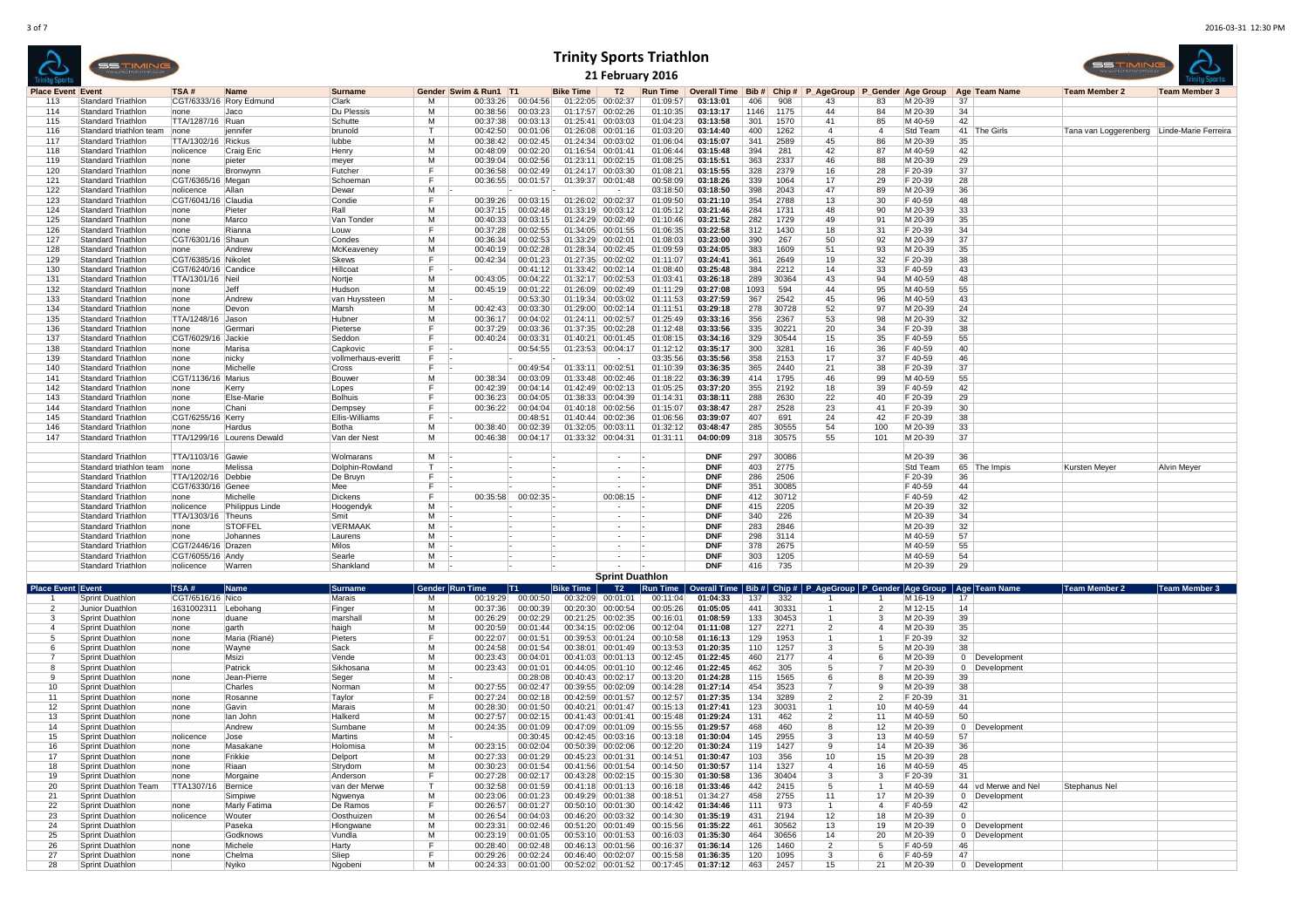<sup>378</sup> <sup>2675</sup> M 40-59 <sup>55</sup>

<sup>303</sup> <sup>1205</sup> M 40-59 <sup>54</sup>

|                          | <b>SSTIMIN</b>            |                           |                            |                       |              |                       |                      | <b>Trinity Sports Triathlon</b> | 21 February 2016                       |                      |                     |      |       |                               |     |          |          |               | 55 TIM                                  |                      |
|--------------------------|---------------------------|---------------------------|----------------------------|-----------------------|--------------|-----------------------|----------------------|---------------------------------|----------------------------------------|----------------------|---------------------|------|-------|-------------------------------|-----|----------|----------|---------------|-----------------------------------------|----------------------|
| <b>Place Event Event</b> |                           | TSA#                      | <b>Name</b>                | Surname               |              | Gender Swim & Run1 T1 |                      | <b>Bike Time</b>                | T <sub>2</sub>                         | <b>Run Time</b>      | <b>Overall Time</b> | Bib# | Chin# | P AgeGroup P Gender Age Group |     |          |          | Age Team Name | <b>Team Member 2</b>                    | <b>Team Member 3</b> |
| 113                      | <b>Standard Triathlon</b> |                           | CGT/6333/16 Rory Edmund    | Clark                 | м            | 00:33:26              | 00:04:56             | 01:22:05                        | 00:02:37                               | 01:09:57             | 03:13:01            | 406  | 908   | 43                            | 83  | M 20-39  | 37       |               |                                         |                      |
| 114                      | Standard Triathlon        |                           | Jaco                       | Du Plessis            | M            | 00:38:56              | 00:03:23             |                                 | 01:17:57 00:02:26                      | 01:10:35             | 03:13:17            | 1146 | 1175  | 44                            | 84  | M 20-39  | 34       |               |                                         |                      |
| 115                      | Standard Triathlon        | Inone<br>TTA/1287/16 Ruan |                            | Schutte               | м            | 00:37:38              | 00:03:13             |                                 | 01:25:41 00:03:03                      | 01:04:23             | 03:13:58            | 301  | 1570  | 41                            | 85  | M 40-59  | 42       |               |                                         |                      |
|                          | Standard triathlon team   | none                      | iennifer                   | brunold               | $\mathsf{T}$ |                       |                      |                                 |                                        |                      | 03:14:40            | 400  | 1262  | $\mathbf{A}$                  |     | Std Team |          | 41 The Girls  | Tana van Loggerenberg Linde-Marie Ferre |                      |
| 116<br>117               | Standard Triathlon        | TTA/1302/16 Rickus        |                            | lubbe                 | м            | 00:42:50<br>00:38:42  | 00:01:06<br>00:02:45 |                                 | 01:26:08 00:01:16<br>01:24:34 00:03:02 | 01:03:20<br>01:06:04 | 03:15:07            | 341  | 2589  | 45                            | 86  | M 20-39  |          |               |                                         |                      |
| 118                      | Standard Triathlon        |                           |                            | Henry                 | м            |                       | 00:02:20             |                                 | 01:16:54 00:01:41                      | 01:06:44             | 03:15:48            | 394  | 281   | 42                            | 87  | M 40-59  | 35<br>42 |               |                                         |                      |
|                          |                           | nolicence                 | Craig Eric                 |                       |              | 00:48:09              |                      |                                 |                                        |                      |                     |      |       |                               |     |          |          |               |                                         |                      |
| 119                      | Standard Triathlon        | none                      | pieter                     | meyer                 | м            | 00:39:04              | 00:02:56             |                                 | 01:23:11 00:02:15                      | 01:08:25             | 03:15:51            | 363  | 2337  | 46                            | 88  | M 20-39  | 29       |               |                                         |                      |
| 120                      | Standard Triathlon        | none                      | Bronwynn                   | Futcher               | F.           | 00:36:58              | 00:02:49             |                                 | 01:24:17 00:03:30                      | 01:08:21             | 03:15:55            | 328  | 2379  | 16                            | 28  | F 20-39  | 37       |               |                                         |                      |
| 121                      | Standard Triathlon        | CGT/6365/16 Megan         |                            | Schoemar              | F.           | 00:36:55              | 00:01:57             |                                 | 01:39:37 00:01:48                      | 00:58:09             | 03:18:26            | 339  | 1064  | 17                            | 29  | F 20-39  | 28       |               |                                         |                      |
| 122                      | Standard Triathlon        | nolicence                 | Allan                      | Dewar                 | M            |                       |                      |                                 |                                        | 03:18:50             | 03:18:50            | 398  | 2043  | 47                            | 89  | M 20-39  | 36       |               |                                         |                      |
| 123                      | Standard Triathlon        | CGT/6041/16 Claudia       |                            | Condie                | F.           | 00:39:26              | 00:03:15             |                                 | 01:26:02 00:02:37                      | 01:09:50             | 03:21:10            | 354  | 2788  | 13                            | 30  | F40-59   | 48       |               |                                         |                      |
| 124                      | Standard Triathlon        | Inone                     | Pieter                     | Rall                  | м            | 00:37:15              | 00:02:48             |                                 | 01:33:19 00:03:12                      | 01:05:12             | 03:21:46            | 284  | 1731  | 48                            | 90  | M 20-39  | 33       |               |                                         |                      |
| 125                      | Standard Triathlon        | Inone                     | Marco                      | Van Tonder            | м            | 00:40:33              | 00:03:15             |                                 | 01:24:29 00:02:49                      | 01:10:46             | 03:21:52            | 282  | 1729  | 49                            | 91  | M 20-39  | 35       |               |                                         |                      |
| 126                      | Standard Triathlon        | none                      | Rianna                     | Louw                  | F.           | 00:37:28              | 00:02:55             |                                 | 01:34:05 00:01:55                      | 01:06:35             | 03:22:58            | 312  | 1430  | 18                            | 31  | F 20-39  | 34       |               |                                         |                      |
| 127                      | Standard Triathlon        | CGT/6301/16 Shaun         |                            | Condes                | м            | 00:36:34              | 00:02:53             |                                 | 01:33:29 00:02:01                      | 01:08:03             | 03:23:00            | 390  | 267   | 50                            | 92  | M 20-39  | 37       |               |                                         |                      |
| 128                      | Standard Triathlon        | none                      | Andrew                     | McKeavenev            | M            | 00:40:19              | 00:02:28             |                                 | 01:28:34 00:02:45                      | 01:09:59             | 03:24:05            | 383  | 1609  | 51                            | 93  | M 20-39  | 35       |               |                                         |                      |
| 129                      | Standard Triathlon        | CGT/6385/16 Nikolet       |                            | Skews                 | F.           | 00:42:34              | 00:01:23             |                                 | 01:27:35 00:02:02                      | 01:11:07             | 03:24:41            | 361  | 2649  | 19                            | 32  | F 20-39  | 38       |               |                                         |                      |
| 130                      | Standard Triathlon        | CGT/6240/16 Candice       |                            | Hillcoat              | F.           |                       | 00:41:12             |                                 | 01:33:42 00:02:14                      | 01:08:40             | 03:25:48            | 384  | 2212  | 14                            | 33  | F40-59   | 43       |               |                                         |                      |
| 131                      | Standard Triathlon        | TTA/1301/16 Neil          |                            | Nortie                | м            | 00:43:05              | 00:04:22             |                                 | 01:32:17 00:02:53                      | 01:03:41             | 03:26:18            | 289  | 30364 | 43                            | 94  | M 40-59  | 48       |               |                                         |                      |
| 132                      | Standard Triathlon        | none                      | Jeff                       | Hudson                | м            | 00:45:19              | 00:01:22             |                                 | 01:26:09 00:02:49                      | 01:11:29             | 03:27:08            | 1093 | 594   | 44                            | 95  | M 40-59  | 55       |               |                                         |                      |
| 133                      | Standard Triathlon        | none                      | Andrew                     | Ivan Huvssteen        | м            |                       | 00:53:30             |                                 | 01:19:34 00:03:02                      | 01:11:53             | 03:27:59            | 367  | 2542  | 45                            | 96  | M 40-59  | 43       |               |                                         |                      |
| 134                      | Standard Triathlon        | none                      | Devon                      | Marsh                 | M            | 00:42:43              | 00:03:30             |                                 | 01:29:00 00:02:14                      | 01:11:51             | 03:29:18            | 278  | 30728 | 52                            | 97  | M 20-39  | 24       |               |                                         |                      |
| 135                      | Standard Triathlon        | TTA/1248/16               | Jason                      | Hubner                | м            | 00:36:17              | 00:04:02             |                                 | 01:24:11 00:02:57                      | 01:25:49             | 03:33:16            | 356  | 2367  | 53                            | 98  | M 20-39  | 32       |               |                                         |                      |
| 136                      | Standard Triathlon        | none                      | Germari                    | Pieterse              | F.           | 00:37:29              | 00:03:36             |                                 | 01:37:35 00:02:28                      | 01:12:48             | 03:33:56            | 335  | 30221 | 20                            | 34  | F 20-39  | 38       |               |                                         |                      |
| 137                      | Standard Triathlon        | CGT/6029/16 Jackie        |                            | Seddon                | F.           | 00:40:24              | 00:03:31             |                                 | 01:40:21 00:01:45                      | 01:08:15             | 03:34:16            | 329  | 30544 | 15                            | 35  | F40-59   | 55       |               |                                         |                      |
| 138                      | Standard Triathlon        | none                      | Marisa                     | Capkovic              | F.           |                       | 00:54:55             |                                 | 01:23:53 00:04:17                      | 01:12:12             | 03:35:17            | 300  | 3281  | 16                            | 36  | F 40-59  | 40       |               |                                         |                      |
| 139                      | Standard Triathlon        | none                      | nicky                      | vollmerhaus-everitt   | F.           |                       |                      |                                 |                                        | 03:35:56             | 03:35:56            | 358  | 2153  | 17                            | 37  | F40-59   | 46       |               |                                         |                      |
| 140                      | Standard Triathlon        | none                      | Michelle                   | Cross                 | F.           |                       | 00:49:54             |                                 | 01:33:11 00:02:51                      | 01:10:39             | 03:36:35            | 365  | 2440  | 21                            | 38  | F 20-39  | 37       |               |                                         |                      |
| 141                      | Standard Triathlon        | CGT/1136/16 Marius        |                            | Bouwer                | м            | 00:38:34              | 00:03:09             |                                 | 01:33:48 00:02:46                      | 01:18:22             | 03:36:39            | 414  | 1795  | 46                            | 99  | M 40-59  | 55       |               |                                         |                      |
| 142                      | Standard Triathlon        | none                      | Kerry                      | Lopes                 | F.           | 00:42:39              | 00:04:14             |                                 | 01:42:49 00:02:13                      | 01:05:25             | 03:37:20            | 355  | 2192  | 18                            | 39  | F40-59   | 42       |               |                                         |                      |
| 143                      | Standard Triathlon        | none                      | Else-Marie                 | Bolhuis               | F.           | 00:36:23              | 00:04:05             |                                 | 01:38:33 00:04:39                      | 01:14:31             | 03:38:11            | 288  | 2630  | 22                            | 40  | F 20-39  | 29       |               |                                         |                      |
| 144                      | Standard Triathlon        |                           | Chani                      | Dempsey               | F.           | 00:36:22              | 00:04:04             |                                 | 01:40:18 00:02:56                      | 01:15:07             | 03:38:47            | 287  | 2528  | 23                            | 41  | F 20-39  | 30       |               |                                         |                      |
| 145                      |                           | none                      |                            | <b>Ellis-Williams</b> | F.           |                       | 00:48:51             |                                 |                                        |                      | 03:39:07            | 407  | 691   | 24                            | 42  | F 20-39  | 38       |               |                                         |                      |
|                          | Standard Triathlon        | CGT/6255/16 Kerry         |                            |                       |              |                       |                      |                                 | 01:40:44 00:02:36                      | 01:06:56             |                     |      |       |                               |     |          |          |               |                                         |                      |
| 146                      | Standard Triathlon        | none                      | Hardus                     | Botha                 | м            | 00:38:40              | 00:02:39             |                                 | 01:32:05 00:03:11                      | 01:32:12             | 03:48:47            | 285  | 30555 | 54                            | 100 | M 20-39  | 33       |               |                                         |                      |
| 147                      | <b>Standard Triathlon</b> |                           | TTA/1299/16 Lourens Dewald | Van der Nest          | м            | 00:46:38              | 00:04:17             | 01:33:32 00:04:31               |                                        | 01:31:11             | 04:00:09            | 318  | 30575 | 55                            | 101 | M 20-39  | 37       |               |                                         |                      |
|                          |                           |                           |                            |                       |              |                       |                      |                                 |                                        |                      |                     |      |       |                               |     |          |          |               |                                         |                      |
|                          | Standard Triathlon        | TTA/1103/16 Gawie         |                            | Wolmarans             | м            |                       |                      |                                 |                                        |                      | <b>DNF</b>          | 297  | 30086 |                               |     | M 20-39  | 36       |               |                                         |                      |
|                          | Standard triathlon team   | Inone                     | Melissa                    | Dolphin-Rowland       | $\mathsf{T}$ |                       |                      |                                 |                                        |                      | <b>DNF</b>          | 403  | 2775  |                               |     | Std Team |          | 65 The Impis  | Kursten Mever                           | <b>Alvin Mever</b>   |
|                          | Standard Triathlon        | TTA/1202/16 Debbie        |                            | De Bruvn              | F.           |                       |                      |                                 | $\sim$                                 |                      | <b>DNF</b>          | 286  | 2506  |                               |     | F 20-39  | 36       |               |                                         |                      |
|                          | Standard Triathlon        | CGT/6330/16 Genee         |                            | Mee                   | F.           |                       |                      |                                 | $\sim$                                 |                      | <b>DNF</b>          | 351  | 30085 |                               |     | F40-59   | 44       |               |                                         |                      |
|                          | Standard Triathlon        | none                      | Michelle                   | Dickens               | F.           | 00:35:58              | 00:02:35             |                                 | 00:08:15                               |                      | <b>DNF</b>          | 412  | 30712 |                               |     | F40-59   | 42       |               |                                         |                      |
|                          | Standard Triathlon        | nolicence                 | Philippus Linde            | Hoogendyk             | M            |                       |                      |                                 | $\sim$                                 |                      | <b>DNF</b>          | 415  | 2205  |                               |     | M 20-39  | 32       |               |                                         |                      |
|                          | Standard Triathlon        | TTA/1303/16               | Theuns                     | Smit                  | M            |                       |                      |                                 | $\sim$                                 |                      | <b>DNF</b>          | 340  | 226   |                               |     | M 20-39  | 34       |               |                                         |                      |
|                          | Standard Triathlon        | Inone                     | STOFFEL                    | VERMAAK               | м            |                       |                      |                                 |                                        |                      | <b>DNF</b>          | 283  | 2846  |                               |     | M 20-39  | 32       |               |                                         |                      |
|                          | Standard Triathlon        | none                      | Johannes                   | Laurens               | м            |                       |                      |                                 | $\sim$                                 |                      | <b>DNF</b>          | 298  | 3114  |                               |     | M 40-59  | 57       |               |                                         |                      |

Standard Triathlon none Johannes<br>
Standard Triathlon none Johannes<br>
Standard Triathlon CGT/2446/16 Drazen Milos M - - - - -

Standard Triathlon CGT/2446/16 Drazen Milos M - - - - -

Standard Triathlon CGT/6055/16 Andy Searle M - - - - -

nolicence Warren

|                     | <b>Sprint Duathlon</b><br>IT <sub>1</sub><br>   Bib #   Chip #   P_AgeGroup   P_Gender   Age Group   Age   Team Name<br><b>Gender Run Time</b><br><b>Bike Time</b><br><b>Run Time</b> |                  |               |                |    |          |          |                   |          |          |              |     |       |                |                       |         |                     |                      |               |
|---------------------|---------------------------------------------------------------------------------------------------------------------------------------------------------------------------------------|------------------|---------------|----------------|----|----------|----------|-------------------|----------|----------|--------------|-----|-------|----------------|-----------------------|---------|---------------------|----------------------|---------------|
| Place Event I Event |                                                                                                                                                                                       | <b>ITSA#</b>     | <b>Name</b>   | <b>Surname</b> |    |          |          |                   | T2       |          | Overall Time |     |       |                |                       |         |                     | <b>Team Member 2</b> | Team Member 3 |
|                     | Sprint Duathlon                                                                                                                                                                       | CGT/6516/16 Nico |               | Marais         | м  | 00:19:29 | 00:00:50 | 00:32:09          | 00:01:01 | 00:11:04 | 01:04:33     | 137 | 332   |                |                       | M 16-19 | 17                  |                      |               |
|                     | <b>Junior Duathlon</b>                                                                                                                                                                | 1631002311       | Lebohang      | Finger         | м  | 00:37:36 | 00:00:39 | 00:20:30          | 00:00:54 | 00:05:26 | 01:05:05     | 441 | 30331 |                |                       | M 12-15 | 14                  |                      |               |
|                     | Sprint Duathlon                                                                                                                                                                       | Inone            | duane         | marshall       | м  | 00:26:29 | 00:02:29 | 00:21:25          | 00:02:35 | 00:16:0  | 01:08:59     | 133 | 30453 |                |                       | M 20-39 | 39                  |                      |               |
|                     | Sprint Duathlon                                                                                                                                                                       | Inone            | laarth        | haigh          | м  | 00:20:59 | 00:01:44 | 00:34:15          | 00:02:06 | 00:12:04 | 01:11:08     | 127 | 2271  | $\overline{2}$ |                       | M 20-39 | 35                  |                      |               |
|                     | Sprint Duathlon                                                                                                                                                                       | Inone            | Maria (Riané) | Pieters        |    | 00:22:07 | 00:01:5  | 00:39:53          | 00:01:24 | 00:10:58 | 01:16:13     | 129 | 1953  |                |                       | F 20-39 | 32                  |                      |               |
|                     | Sprint Duathlon                                                                                                                                                                       | none             | Wavne         | Sack           | м  | 00:24:58 | 00:01:54 | 00:38:01 00:01:49 |          | 00:13:53 | 01:20:35     | 110 | 1257  | $\sim$         |                       | M 20-39 | 38                  |                      |               |
|                     | Sprint Duathlon                                                                                                                                                                       |                  | Msizi         | Vende          | м  | 00:23:43 | 00:04:0  | 00:41:03 00:01:13 |          | 00:12:45 | 01:22:45     | 460 | 2177  |                |                       | M 20-39 | Development         |                      |               |
|                     | Sprint Duathlon                                                                                                                                                                       |                  | Patrick       | Sikhosana      | м  | 00:23:43 | 00:01:0  | 00:44:05 00:01:10 |          | 00:12:46 | 01:22:45     | 462 | 305   |                |                       | M 20-39 | Development         |                      |               |
|                     | Sprint Duathlon                                                                                                                                                                       | none             | Jean-Pierre   | Seger          | м  |          | 00:28:08 | 00:40:43          | 00:02:17 | 00:13:20 | 01:24:28     | 115 | 1565  |                |                       | M 20-39 | 39                  |                      |               |
|                     | Sprint Duathlon                                                                                                                                                                       |                  | Charles       | Norman         | м  | 00:27:55 | 00:02:4  | 00:39:55          | 00:02:09 | 00:14:28 | 01:27:14     | 454 | 3523  |                |                       | M 20-39 | 38                  |                      |               |
| 11                  | Sprint Duathlon                                                                                                                                                                       | none             | Rosanne       | Tavlor         | F. | 00:27:24 | 00:02:18 | 00:42:59 00:01:57 |          | 00:12:57 | 01:27:35     | 134 | 3289  | $\sim$         |                       | F 20-39 | 31                  |                      |               |
| 12                  | Sprint Duathlon                                                                                                                                                                       | Inone            | Gavin         | Marais         | м  | 00:28:30 | 00:01:50 | 00:40:21          | 00:01:47 | 00:15:13 | 01:27:41     | 123 | 30031 |                | 10                    | M 40-59 | 44                  |                      |               |
|                     | Sprint Duathlon                                                                                                                                                                       | none             | lan John      | Halkerd        | м  | 00:27:57 | 00:02:15 | 00:41:43 00:01:41 |          | 00:15:48 | 01:29:24     | 131 | 462   | $\sim$         |                       | M 40-59 | 50                  |                      |               |
| 14                  | Sprint Duathlon                                                                                                                                                                       |                  | Andrew        | Sumbane        | м  | 00:24:35 | 00:01:09 | 00:47:09          | 00:01:09 | 00:15:55 | 01:29:57     | 468 | 460   |                |                       | M 20-39 | Development         |                      |               |
| 15                  | Sprint Duathlon                                                                                                                                                                       | nolicence        | Jose          | Martins        | M  |          | 00:30:45 | 00:42:45 00:03:16 |          | 00:13:18 | 01:30:04     | 145 | 2955  | 3              | 13                    | M 40-59 | 57                  |                      |               |
| 16                  | Sprint Duathlon                                                                                                                                                                       | Inone            | Masakane      | Holomisa       | м  | 00:23:15 | 00:02:0  | 00:50:39          | 00:02:06 | 00:12:20 | 01:30:24     | 119 | 1427  | $\mathsf{Q}$   | 14                    | M 20-39 | 36                  |                      |               |
| 17                  | Sprint Duathlon                                                                                                                                                                       | none             | Frikkie       | Delport        | м  | 00:27:33 | 00:01:29 | 00:45:23 00:01:31 |          | 00:14:51 | 01:30:47     | 03  | 356   | 10             |                       | M 20-39 | 28                  |                      |               |
| 18                  | Sprint Duathlon                                                                                                                                                                       | Inone            | Riaan         | Strydom        | м  | 00:30:23 | 00:01:5  | 00:41:56          | 00:01:54 | 00:14:50 | 01:30:57     | 114 | 1327  |                | 16                    | M 40-59 | 45                  |                      |               |
|                     | Sprint Duathlon                                                                                                                                                                       | Inone            | Morgaine      | Anderson       |    | 00:27:28 | 00:02:17 | 00:43:28          | 00:02:15 | 00:15:30 | 01:30:58     | 136 | 30404 | 3              |                       | F 20-39 | 31                  |                      |               |
| 20                  | Sprint Duathlon Team                                                                                                                                                                  | TTA1307/16       | Bernice       | van der Merwe  |    | 00:32:58 | 00:01:59 | 00:41:18          | 00:01:13 | 00:16:18 | 01:33:46     | 442 | 2415  |                |                       | M 40-59 | 44 vd Merwe and Nel | Stephanus Nel        |               |
| 21                  | Sprint Duathlon                                                                                                                                                                       |                  | Simpiwe       | Nawenya        | м  | 00:23:06 | 00:01:23 | 00:49:29          | 00:01:38 | 00:18:51 | 01:34:27     | 458 | 2755  | 11             |                       | M 20-39 | Development         |                      |               |
| 22                  | Sprint Duathlon                                                                                                                                                                       | none             | Marly Fatima  | De Ramos       | F. | 00:26:57 | 00:01:27 | 00:50:10 00:01:30 |          | 00:14:42 | 01:34:46     |     | 973   |                |                       | F40-59  | 42                  |                      |               |
| 23                  | Sprint Duathlon                                                                                                                                                                       | nolicence        | Wouter        | Oosthuizen     | м  | 00:26:54 | 00:04:03 | 00:46:20          | 00:03:32 | 00:14:30 | 01:35:19     | 431 | 2194  | 12             |                       | M 20-39 |                     |                      |               |
| 24                  | Sprint Duathlon                                                                                                                                                                       |                  | Paseka        | Hlongwane      | м  | 00:23:31 | 00:02:46 | 00:51:20 00:01:49 |          | 00:15:56 | 01:35:22     | 461 | 30562 | 13             | 1 <sup>c</sup>        | M 20-39 | Development         |                      |               |
| 25                  | Sprint Duathlon                                                                                                                                                                       |                  | Godknows      | Vundla         | м  | 00:23:19 | 00:01:05 | 00:53:10          | 00:01:53 | 00:16:03 | 01:35:30     | 464 | 30656 | 14             | 20                    | M 20-39 | 0 Development       |                      |               |
| 26                  | Sprint Duathlon                                                                                                                                                                       | none             | Michele       | Harty          |    | 00:28:40 | 00:02:48 | 00:46:13 00:01:56 |          | 00:16:37 | 01:36:14     | 126 | 1460  | $\overline{2}$ |                       | F40-59  | 46                  |                      |               |
| 27                  | Sprint Duathlon                                                                                                                                                                       | Inone            | Chelma        | Sliep          | F. | 00:29:26 | 00:02:24 | 00:46:40          | 00:02:07 | 00:15:58 | 01:36:35     | 120 | 1095  | 3              |                       | F40-59  | 47                  |                      |               |
| 28                  | Sprint Duathlon                                                                                                                                                                       |                  | Nyiko         | Naoben         | M  | 00:24:33 | 00:01:00 | 00:52:02          | 00:01:52 | 00:17:45 | 01:37:12     | 463 | 2457  | 15             | $\mathbf{2}^{\prime}$ | M 20-39 | Development         |                      |               |

DNF

DNF

**DNF**

 $|416|$  735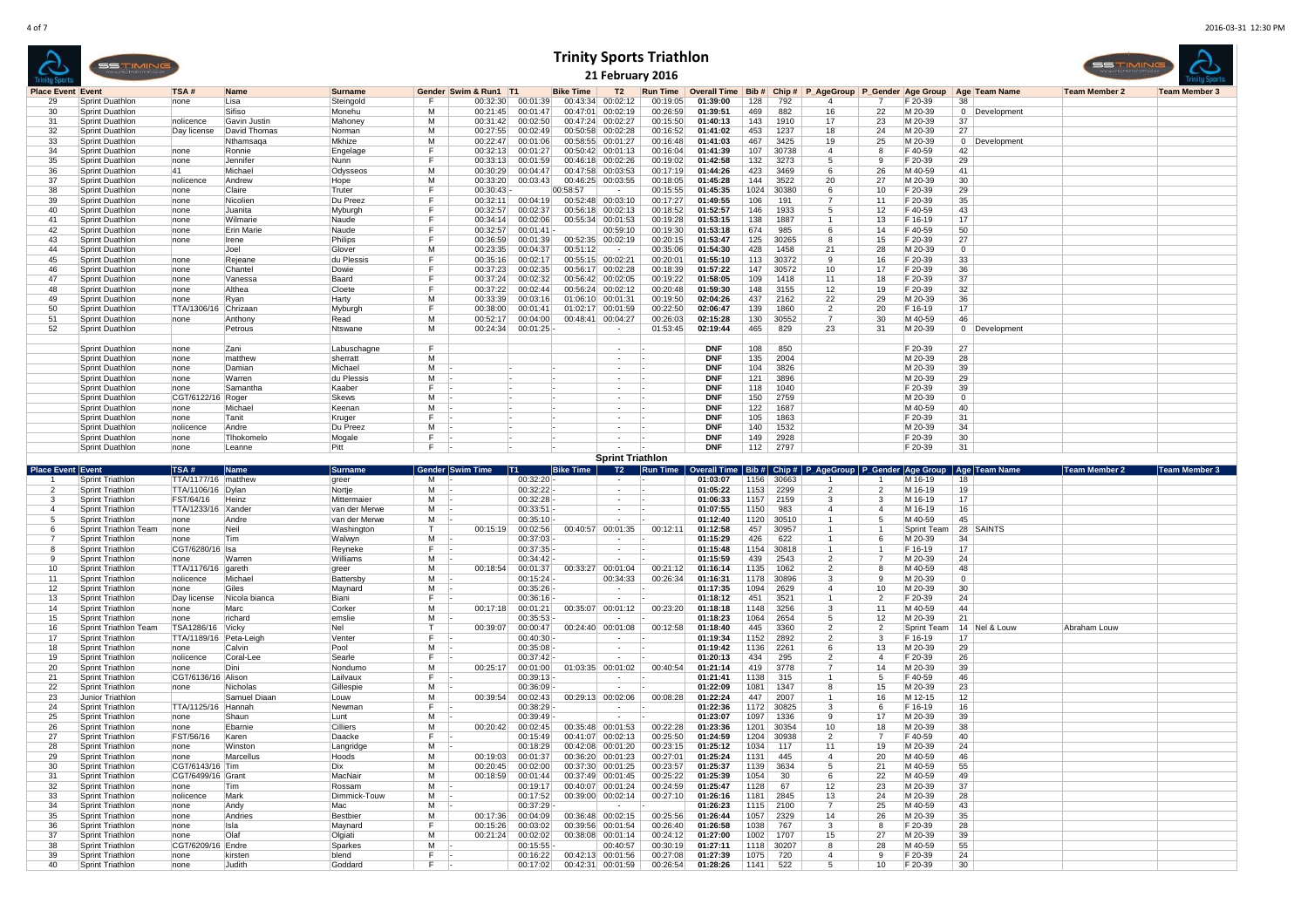| <b>Trinity Sports Triathlon</b><br>55 TIMIN<br>21 February 2016<br>T <sub>2</sub><br><b>Place Event Event</b><br>TSA#<br>Gender Swim & Run1 T1<br><b>Bike Time</b><br><b>Run Time</b><br>Overall Time   Bib #   Chip #   P_AgeGroup   P_Gender   Age Group<br>Age Team Name<br><b>Name</b><br><b>Surname</b><br>00:01:39<br>00:43:34<br>00:02:12<br>01:39:00<br>128<br>Steingold<br>00:32:30<br>00:19:05<br>792<br>29<br>Sprint Duathlon<br>none<br>Lisa<br>F<br>F 20-39<br>38 |                                                  |                              |                              |                                |         |                       |                               |                                     |                                        |                      |                               |              |                        |                                                                                                                 |                              |                    |                |               |                      |                             |
|--------------------------------------------------------------------------------------------------------------------------------------------------------------------------------------------------------------------------------------------------------------------------------------------------------------------------------------------------------------------------------------------------------------------------------------------------------------------------------|--------------------------------------------------|------------------------------|------------------------------|--------------------------------|---------|-----------------------|-------------------------------|-------------------------------------|----------------------------------------|----------------------|-------------------------------|--------------|------------------------|-----------------------------------------------------------------------------------------------------------------|------------------------------|--------------------|----------------|---------------|----------------------|-----------------------------|
|                                                                                                                                                                                                                                                                                                                                                                                                                                                                                |                                                  |                              |                              |                                |         |                       |                               |                                     |                                        |                      |                               |              |                        |                                                                                                                 |                              |                    |                |               | <b>Team Member 2</b> | <b>Team Member 3</b>        |
|                                                                                                                                                                                                                                                                                                                                                                                                                                                                                |                                                  |                              |                              |                                |         |                       |                               |                                     |                                        |                      |                               |              |                        |                                                                                                                 |                              |                    |                |               |                      |                             |
| 30                                                                                                                                                                                                                                                                                                                                                                                                                                                                             | Sprint Duathlon                                  |                              | Sifiso                       | Monehu                         | м       | 00:21:45              | 00:01:47                      |                                     | 00:47:01 00:02:19                      | 00:26:59             | 01:39:51                      | 469          | 882                    | 16                                                                                                              | 22                           | M 20-39            |                | 0 Development |                      |                             |
| 31<br>32                                                                                                                                                                                                                                                                                                                                                                                                                                                                       | <b>Sprint Duathlon</b><br><b>Sprint Duathlon</b> | nolicence<br>Day license     | Gavin Justin<br>David Thomas | Mahoney<br>Norman              | м<br>м  | 00:31:42<br>00:27:55  | 00:02:50<br>00:02:49          |                                     | 00:47:24 00:02:27<br>00:50:58 00:02:28 | 00:15:50<br>00:16:52 | 01:40:13<br>01:41:02          | 143<br>453   | 1910<br>1237           | 17<br>18                                                                                                        | 23<br>24                     | M 20-39<br>M 20-39 | 37<br>27       |               |                      |                             |
| 33                                                                                                                                                                                                                                                                                                                                                                                                                                                                             | <b>Sprint Duathlon</b>                           |                              | Nthamsaga                    | Mkhize                         | м       | 00:22:47              | 00:01:06                      |                                     | 00:58:55 00:01:27                      | 00:16:48             | 01:41:03                      | 467          | 3425                   | 19                                                                                                              | 25                           | M 20-39            |                | 0 Development |                      |                             |
| 34                                                                                                                                                                                                                                                                                                                                                                                                                                                                             | <b>Sprint Duathlon</b>                           | none                         | Ronnie                       | Engelage                       | F       | 00:32:13              | 00:01:27                      | 00:50:42                            | 00:01:13                               | 00:16:04             | 01:41:39                      | 107          | 30738                  | $\overline{a}$                                                                                                  | 8                            | F 40-59            | 42             |               |                      |                             |
| 35                                                                                                                                                                                                                                                                                                                                                                                                                                                                             | <b>Sprint Duathlon</b>                           | none                         | Jennifer                     | Nunn                           | F       | 00:33:13              | 00:01:59                      | 00:46:18                            | 00:02:26                               | 00:19:02             | 01:42:58                      | 132          | 3273                   | 5                                                                                                               | -9                           | F 20-39            | 29             |               |                      |                             |
| 36<br>37                                                                                                                                                                                                                                                                                                                                                                                                                                                                       | Sprint Duathlon<br>Sprint Duathlon               | 41<br>nolicence              | Michael<br>Andrew            | Odysseos<br>Hope               | М<br>м  | 00:30:29<br>00:33:20  | 00:04:47<br>00:03:43          |                                     | 00:47:58 00:03:53<br>00:46:25 00:03:55 | 00:17:19<br>00:18:05 | 01:44:26<br>01:45:28          | 423<br>144   | 3469<br>3522           | 6<br>20                                                                                                         | 26<br>27                     | M 40-59<br>M 20-39 | 41<br>30       |               |                      |                             |
| 38                                                                                                                                                                                                                                                                                                                                                                                                                                                                             | <b>Sprint Duathlon</b>                           | none                         | Claire                       | Truter                         | F       | 00:30:43              |                               | 00:58:57                            | $\sim$                                 | 00:15:55             | 01:45:35                      | 1024         | 30380                  | ĥ                                                                                                               | 10 <sup>1</sup>              | F 20-39            | 29             |               |                      |                             |
| 39                                                                                                                                                                                                                                                                                                                                                                                                                                                                             | Sprint Duathlon                                  | none                         | Nicolien                     | Du Preez                       | F       | 00:32:11              | 00:04:19                      |                                     | 00:52:48 00:03:10                      | 00:17:27             | 01:49:55                      | 106          | 191                    |                                                                                                                 | 11                           | F 20-39            | 35             |               |                      |                             |
| 40                                                                                                                                                                                                                                                                                                                                                                                                                                                                             | Sprint Duathlon                                  | none                         | Juanita                      | Myburgh                        | F       | 00:32:57              | 00:02:37                      |                                     | 00:56:18 00:02:13                      | 00:18:52             | 01:52:57                      | 146          | 1933                   | -5                                                                                                              | 12                           | F40-59             | 43             |               |                      |                             |
| 41<br>42                                                                                                                                                                                                                                                                                                                                                                                                                                                                       | Sprint Duathlon<br>Sprint Duathlon               | none                         | Wilmarie<br> Erin Marie      | Naude<br>Naude                 | F<br>F  | 00:34:14<br>00:32:57  | 00:02:06<br>00:01:41          | 00:55:34                            | 00:01:53<br>00:59:10                   | 00:19:28<br>00:19:30 | 01:53:15<br>01:53:18          | 138<br>674   | 1887<br>985            | 6                                                                                                               | 13<br>14                     | F 16-19<br>F 40-59 | 17<br>50       |               |                      |                             |
| 43                                                                                                                                                                                                                                                                                                                                                                                                                                                                             | <b>Sprint Duathlon</b>                           | none<br>none                 | Irene                        | Philips                        | F       | 00:36:59              | 00:01:39                      | 00:52:35                            | 00:02:19                               | 00:20:15             | 01:53:47                      | 125          | 30265                  | 8                                                                                                               | 15                           | F 20-39            | 27             |               |                      |                             |
| 44                                                                                                                                                                                                                                                                                                                                                                                                                                                                             | Sprint Duathlon                                  |                              | Joel                         | Glover                         | м       | 00:23:35              | 00:04:37                      | 00:51:12                            | $\sim$                                 | 00:35:06             | 01:54:30                      | 428          | 1458                   | 21                                                                                                              | 28                           | M 20-39            | $\mathbf 0$    |               |                      |                             |
| 45                                                                                                                                                                                                                                                                                                                                                                                                                                                                             | Sprint Duathlon                                  | none                         | Rejeane                      | du Plessis                     | F       | 00:35:16              | 00:02:17                      |                                     | 00:55:15 00:02:21                      | 00:20:01             | 01:55:10                      | 113          | 30372                  | 9                                                                                                               | 16                           | F 20-39            | 33             |               |                      |                             |
| 46<br>47                                                                                                                                                                                                                                                                                                                                                                                                                                                                       | <b>Sprint Duathlon</b>                           | none                         | Chantel                      | Dowie                          | F<br>F. | 00:37:23              | 00:02:35                      |                                     | 00:56:17 00:02:28                      | 00:18:39             | 01:57:22                      | 147          | 30572                  | 10                                                                                                              | 17                           | F 20-39            | 36             |               |                      |                             |
| 48                                                                                                                                                                                                                                                                                                                                                                                                                                                                             | Sprint Duathlon<br>Sprint Duathlon               | none<br>none                 | Vanessa<br>Althea            | Baard<br>Cloete                | F.      | 00:37:24<br>00:37:22  | 00:02:32<br>00:02:44          | 00:56:24                            | 00:56:42 00:02:05<br>00:02:12          | 00:19:22<br>00:20:48 | 01:58:05<br>01:59:30          | 109<br>148   | 1418<br>3155           | 11<br>12                                                                                                        | 18<br>19                     | F 20-39<br>F 20-39 | 37<br>32       |               |                      |                             |
| 49                                                                                                                                                                                                                                                                                                                                                                                                                                                                             | <b>Sprint Duathlon</b>                           | none                         | Ryan                         | Harty                          | м       | 00:33:39              | 00:03:16                      | 01:06:10                            | 00:01:31                               | 00:19:50             | 02:04:26                      | 437          | 2162                   | 22                                                                                                              | 29                           | M 20-39            | 36             |               |                      |                             |
| 50                                                                                                                                                                                                                                                                                                                                                                                                                                                                             | <b>Sprint Duathlon</b>                           | TTA/1306/16 Chrizaan         |                              | Myburgh                        | F       | 00:38:00              | 00:01:41                      | 01:02:17                            | 00:01:59                               | 00:22:50             | 02:06:47                      | 139          | 1860                   | $\overline{2}$                                                                                                  | 20                           | F 16-19            | 17             |               |                      |                             |
| 51                                                                                                                                                                                                                                                                                                                                                                                                                                                                             | <b>Sprint Duathlon</b>                           | none                         | Anthony                      | Read                           | M       | 00:52:17              | 00:04:00                      | 00:48:41                            | 00:04:27                               | 00:26:03             | 02:15:28                      | 130          | 30552                  | 7                                                                                                               | 30                           | M 40-59            | 46             |               |                      |                             |
| 52                                                                                                                                                                                                                                                                                                                                                                                                                                                                             | Sprint Duathlon                                  |                              | Petrous                      | Ntswane                        | м       | 00:24:34              | 00:01:25                      |                                     |                                        | 01:53:45             | 02:19:44                      | 465          | 829                    | 23                                                                                                              | 31                           | M 20-39            |                | 0 Development |                      |                             |
|                                                                                                                                                                                                                                                                                                                                                                                                                                                                                | Sprint Duathlon                                  | none                         | <b>Zani</b>                  | Labuschagne                    | F.      |                       |                               |                                     | ٠                                      |                      | <b>DNF</b>                    | 108          | 850                    |                                                                                                                 |                              | F 20-39            | 27             |               |                      |                             |
|                                                                                                                                                                                                                                                                                                                                                                                                                                                                                | <b>Sprint Duathlon</b>                           | none                         | matthew                      | sherratt                       | м       |                       |                               |                                     | $\overline{\phantom{a}}$               |                      | <b>DNF</b>                    | 135          | 2004                   |                                                                                                                 |                              | M 20-39            | 28             |               |                      |                             |
|                                                                                                                                                                                                                                                                                                                                                                                                                                                                                | Sprint Duathlon                                  | none                         | Damian                       | Michael                        | м       |                       |                               |                                     |                                        |                      | <b>DNF</b>                    | 104          | 3826                   |                                                                                                                 |                              | M 20-39            | 39             |               |                      |                             |
|                                                                                                                                                                                                                                                                                                                                                                                                                                                                                | <b>Sprint Duathlon</b>                           | none<br>none                 | Warren<br>Samantha           | du Plessis<br>Kaaber           | м<br>F  |                       |                               |                                     |                                        |                      | <b>DNF</b><br><b>DNF</b>      | 121<br>118   | 3896<br>1040           |                                                                                                                 |                              | M 20-39<br>F 20-39 | 29<br>39       |               |                      |                             |
|                                                                                                                                                                                                                                                                                                                                                                                                                                                                                | Sprint Duathlon<br>Sprint Duathlon               | CGT/6122/16                  | Roger                        | Skews                          | M       |                       |                               |                                     | ٠                                      |                      | <b>DNF</b>                    | 150          | 2759                   |                                                                                                                 |                              | M 20-39            | $\overline{0}$ |               |                      |                             |
|                                                                                                                                                                                                                                                                                                                                                                                                                                                                                | <b>Sprint Duathlon</b>                           | none                         | Michae                       | Keenan                         | M       |                       |                               |                                     | $\mathbf{r}$                           |                      | <b>DNF</b>                    | 122          | 1687                   |                                                                                                                 |                              | M 40-59            | 40             |               |                      |                             |
|                                                                                                                                                                                                                                                                                                                                                                                                                                                                                | <b>Sprint Duathlon</b>                           | none                         | Tanit                        | Kruger                         | F.      |                       |                               |                                     |                                        |                      | <b>DNF</b>                    | 105          | 1863                   |                                                                                                                 |                              | F 20-39            | 31             |               |                      |                             |
|                                                                                                                                                                                                                                                                                                                                                                                                                                                                                | Sprint Duathlon                                  | nolicence<br>none            | Andre<br>Tlhokomelo          | Du Preez                       | м<br>F  |                       |                               |                                     |                                        |                      | <b>DNF</b><br><b>DNF</b>      | 140<br>149   | 1532<br>2928           |                                                                                                                 |                              | M 20-39<br>F 20-39 | 34<br>30       |               |                      |                             |
|                                                                                                                                                                                                                                                                                                                                                                                                                                                                                | <b>Sprint Duathlon</b><br><b>Sprint Duathlon</b> | none                         | Leanne                       | Mogale<br>Pitt                 | F.      |                       |                               |                                     | $\overline{\phantom{a}}$               |                      | <b>DNF</b>                    | 112          | 2797                   |                                                                                                                 |                              | F 20-39            | 31             |               |                      |                             |
|                                                                                                                                                                                                                                                                                                                                                                                                                                                                                |                                                  |                              |                              |                                |         |                       |                               |                                     | <b>Sprint Triathlon</b>                |                      |                               |              |                        |                                                                                                                 |                              |                    |                |               |                      |                             |
|                                                                                                                                                                                                                                                                                                                                                                                                                                                                                |                                                  |                              |                              |                                |         |                       |                               |                                     |                                        |                      |                               |              |                        |                                                                                                                 |                              |                    |                |               |                      |                             |
| <b>Place Event Event</b>                                                                                                                                                                                                                                                                                                                                                                                                                                                       |                                                  | TSA#                         | Name                         | Surname                        |         | Gender Swim Time   T1 |                               |                                     |                                        |                      |                               |              |                        | Bike Time   T2   Run Time   Overall Time   Bib #   Chip #   P_AgeGroup   P_Gender   Age Group   Age   Team Name |                              |                    |                |               |                      | Team Member 2 Team Member 3 |
|                                                                                                                                                                                                                                                                                                                                                                                                                                                                                | Sprint Triathlon                                 | TTA/1177/16   matthew        |                              | greer                          | м       |                       | 00:32:20                      |                                     |                                        |                      | 01:03:07                      |              | 1156 30663             |                                                                                                                 |                              | M 16-19            | 18             |               |                      |                             |
|                                                                                                                                                                                                                                                                                                                                                                                                                                                                                | Sprint Triathlon                                 | TTA/1106/16   Dylan          |                              | Nortje                         | м       |                       | 00:32:22                      |                                     | $\overline{\phantom{a}}$<br>٠          |                      | 01:05:22                      | 1153         | 2299                   | $\overline{2}$                                                                                                  | $\overline{2}$               | M 16-19            | 19             |               |                      |                             |
|                                                                                                                                                                                                                                                                                                                                                                                                                                                                                | Sprint Triathlon                                 | FST/64/16                    | Heinz                        | Mittermaier                    | м<br>м  |                       | 00:32:28                      |                                     | $\sim$                                 |                      | 01:06:33                      | 1157         | 2159                   | 3<br>$\overline{a}$                                                                                             | $\mathbf{3}$<br>$\mathbf{A}$ | M 16-19<br>M 16-19 | 17             |               |                      |                             |
|                                                                                                                                                                                                                                                                                                                                                                                                                                                                                | Sprint Triathlon<br>Sprint Triathlon             | TTA/1233/16   Xander<br>none | Andre                        | van der Merwe<br>van der Merwe | М       |                       | 00:33:51<br>00:35:10          |                                     | $\overline{\phantom{a}}$               |                      | 01:07:55<br>01:12:40          | 1150<br>1120 | 983<br>30510           | -1                                                                                                              | 5                            | M 40-59            | 16<br>45       |               |                      |                             |
|                                                                                                                                                                                                                                                                                                                                                                                                                                                                                | Sprint Triathlon Team                            | none                         | Neil                         | Washington                     | T       | 00:15:19              | 00:02:56                      | 00:40:57                            | 00:01:35                               | 00:12:11             | 01:12:58                      | 457          | 30957                  |                                                                                                                 |                              | Sprint Team        | 28             | SAINTS        |                      |                             |
|                                                                                                                                                                                                                                                                                                                                                                                                                                                                                | <b>Sprint Triathlon</b>                          | none                         | Tim                          | Walwyn                         | м       |                       | 00:37:03                      |                                     |                                        |                      | 01:15:29                      | 426          | 622                    |                                                                                                                 | 6                            | M 20-39            | 34             |               |                      |                             |
|                                                                                                                                                                                                                                                                                                                                                                                                                                                                                | Sprint Triathlon<br>Sprint Triathlon             | CGT/6280/16 Isa<br>none      | Warrer                       | Reyneke<br>Williams            | F<br>М  |                       | 00:37:35<br>00:34:42          |                                     | ٠<br>$\sim$                            |                      | 01:15:48<br>01:15:59          | 1154<br>439  | 30818<br>2543          | -1<br>2                                                                                                         | 7                            | F 16-19<br>M 20-39 | 17<br>24       |               |                      |                             |
| 10                                                                                                                                                                                                                                                                                                                                                                                                                                                                             | <b>Sprint Triathlon</b>                          | TTA/1176/16 gareth           |                              | areer                          | м       | 00:18:54              | 00:01:37                      | 00:33:27                            | 00:01:04                               | 00:21:12             | 01:16:14                      | 1135         | 1062                   | $\overline{2}$                                                                                                  | 8                            | M 40-59            | 48             |               |                      |                             |
| 11                                                                                                                                                                                                                                                                                                                                                                                                                                                                             | Sprint Triathlon                                 | nolicence                    | Michae                       | <b>Battersby</b>               | м       |                       | 00:15:24                      |                                     | 00:34:33                               | 00:26:34             | 01:16:31                      | 1178         | 30896                  | 3                                                                                                               | -9                           | M 20-39            | $\overline{0}$ |               |                      |                             |
| 12                                                                                                                                                                                                                                                                                                                                                                                                                                                                             | Sprint Triathlon                                 | none                         | Giles                        | Maynard                        | M       |                       | 00:35:26                      |                                     |                                        |                      | 01:17:35                      | 1094         | 2629                   | $\overline{4}$                                                                                                  | 10                           | M 20-39            | 30             |               |                      |                             |
| 13<br>14                                                                                                                                                                                                                                                                                                                                                                                                                                                                       | Sprint Triathlon<br>Sprint Triathlon             | Day license<br>none          | Nicola bianca<br>Marc        | Biani<br>Corker                | F<br>м  | 00:17:18              | 00:36:16<br>00:01:21          | 00:35:07                            | $\sim$<br>00:01:12                     | 00:23:20             | 01:18:12<br>01:18:18          | 451<br>1148  | 3521<br>3256           | -1<br>3                                                                                                         | -2<br>11                     | F 20-39<br>M 40-59 | 24<br>44       |               |                      |                             |
| 15                                                                                                                                                                                                                                                                                                                                                                                                                                                                             | Sprint Triathlon                                 | none                         | richard                      | emslie                         | м       |                       | 00:35:53                      |                                     | $\sim$                                 |                      | 01:18:23                      | 1064         | 2654                   | 5                                                                                                               | 12                           | M 20-39            | 21             |               |                      |                             |
| 16                                                                                                                                                                                                                                                                                                                                                                                                                                                                             | Sprint Triathlon Team                            | TSA1286/16 Vicky             |                              | Nel                            | $\top$  | 00:39:07              | 00:00:47                      |                                     | 00:24:40 00:01:08                      | 00:12:58             | 01:18:40                      | 445          | 3360                   | $\overline{2}$                                                                                                  | -2                           | Sprint Team        |                | 14 Nel & Louw | Abraham Louw         |                             |
| 17                                                                                                                                                                                                                                                                                                                                                                                                                                                                             | Sprint Triathlon                                 | TTA/1189/16 Peta-Leigh       |                              | Venter                         | F.      |                       | 00:40:30                      |                                     |                                        |                      | 01:19:34                      | 1152         | 2892                   | $\overline{2}$                                                                                                  | -3                           | F 16-19            | 17             |               |                      |                             |
| 18<br>19                                                                                                                                                                                                                                                                                                                                                                                                                                                                       | Sprint Triathlon<br>Sprint Triathlon             | none<br>nolicence            | Calvin                       | Pool                           | м<br>F  |                       | 00:35:08<br>00:37:42          |                                     | $\overline{\phantom{a}}$               |                      | 01:19:42<br>01:20:13          | 1136<br>434  | 2261                   | 6                                                                                                               | 13<br>$\mathbf{A}$           | M 20-39<br>F 20-39 | 29             |               |                      |                             |
| 20                                                                                                                                                                                                                                                                                                                                                                                                                                                                             | Sprint Triathlon                                 | none                         | Coral-Lee<br>Dini            | Searle<br>Nondumo              | м       | 00:25:17              | 00:01:00                      | 01:03:35                            | 00:01:02                               | 00:40:54             | 01:21:14                      | 419          | 295<br>3778            |                                                                                                                 | 14                           | M 20-39            | 26<br>39       |               |                      |                             |
| 21                                                                                                                                                                                                                                                                                                                                                                                                                                                                             | Sprint Triathlon                                 | CGT/6136/16                  | Alison                       | Lailvaux                       | F       |                       | 00:39:13                      |                                     |                                        |                      | 01:21:41                      | 1138         | 315                    |                                                                                                                 | -5                           | F 40-59            | 46             |               |                      |                             |
| 22                                                                                                                                                                                                                                                                                                                                                                                                                                                                             | Sprint Triathlon                                 | none                         | Nicholas                     | Gillespie                      | м       |                       | 00:36:09                      |                                     |                                        |                      | 01:22:09                      | 1081         | 1347                   | 8                                                                                                               | 15                           | M 20-39            | 23             |               |                      |                             |
| 23<br>24                                                                                                                                                                                                                                                                                                                                                                                                                                                                       | Junior Triathlon<br>Sprint Triathlon             | TTA/1125/16 Hannah           | Samuel Diaan                 | Louw<br>Newmar                 | м<br>F  | 00:39:54              | 00:02:43<br>00:38:29          |                                     | 00:29:13 00:02:06                      | 00:08:28             | 01:22:24<br>01:22:36          | 447<br>1172  | 2007<br>30825          | 3                                                                                                               | 16<br>-6                     | M 12-15<br>F 16-19 | 12<br>16       |               |                      |                             |
| 25                                                                                                                                                                                                                                                                                                                                                                                                                                                                             | Sprint Triathlon                                 | none                         | Shaun                        | Lunt                           | M       |                       | 00:39:49                      |                                     |                                        |                      | 01:23:07                      | 1097         | 1336                   | -9                                                                                                              | 17                           | M 20-39            | 39             |               |                      |                             |
| 26                                                                                                                                                                                                                                                                                                                                                                                                                                                                             | Sprint Triathlon                                 | none                         | Ebarnie                      | Cilliers                       | м       | 00:20:42              | 00:02:45                      |                                     | 00:35:48 00:01:53                      | 00:22:28             | 01:23:36                      | 1201         | 30354                  | 10                                                                                                              | 18                           | M 20-39            | 38             |               |                      |                             |
| 27                                                                                                                                                                                                                                                                                                                                                                                                                                                                             | Sprint Triathlon                                 | FST/56/16                    | Karen                        | Daacke                         | F       |                       | 00:15:49                      |                                     | 00:41:07 00:02:13                      | 00:25:50             | 01:24:59                      | 1204         | 30938                  |                                                                                                                 |                              | F 40-59            | 40             |               |                      |                             |
| 28                                                                                                                                                                                                                                                                                                                                                                                                                                                                             | Sprint Triathlon                                 | none                         | Winston                      | Langridge                      | м       |                       | 00:18:29                      |                                     | 00:42:08 00:01:20                      | 00:23:15             | 01:25:12                      | 1034         | 117                    | 11<br>$\overline{4}$                                                                                            | 19                           | M 20-39            | 24             |               |                      |                             |
| 29<br>30                                                                                                                                                                                                                                                                                                                                                                                                                                                                       | Sprint Triathlon<br>Sprint Triathlon             | none<br>CGT/6143/16 Tim      | Marcellus                    | Hoods<br>Dix                   | М<br>м  | 00:19:03              | 00:01:37<br>00:20:45 00:02:00 |                                     | 00:36:20 00:01:23<br>00:37:30 00:01:25 | 00:27:01<br>00:23:57 | 01:25:24<br>01:25:37          |              | 1131 445<br>1139 3634  | 5                                                                                                               | 20<br>21                     | M 40-59<br>M 40-59 | 46<br>55       |               |                      |                             |
| 31                                                                                                                                                                                                                                                                                                                                                                                                                                                                             | Sprint Triathlon                                 | CGT/6499/16 Grant            |                              | MacNair                        | м       |                       |                               | 00:18:59 00:01:44 00:37:49 00:01:45 |                                        | 00:25:22             | 01:25:39                      | 1054         | 30                     | 6                                                                                                               | 22                           | M 40-59            | 49             |               |                      |                             |
| 32                                                                                                                                                                                                                                                                                                                                                                                                                                                                             | Sprint Triathlon                                 | none                         | Tim                          | Rossam                         | M       |                       |                               | 00:19:17 00:40:07 00:01:24          |                                        | 00:24:59             | 01:25:47                      | 1128         | 67                     | 12                                                                                                              | 23                           | M 20-39            | 37             |               |                      |                             |
| 33                                                                                                                                                                                                                                                                                                                                                                                                                                                                             | Sprint Triathlon                                 | nolicence                    | Mark                         | Dimmick-Touw                   | M       |                       | 00:17:52                      |                                     | 00:39:00 00:02:14                      |                      | 00:27:10  01:26:16            |              | 1181 2845              | 13                                                                                                              | 24                           | M 20-39            | 28             |               |                      |                             |
| 34<br>35                                                                                                                                                                                                                                                                                                                                                                                                                                                                       | Sprint Triathlon                                 | none<br>none                 | Andy<br>Andries              | Mac<br>Bestbier                | м<br>М  | 00:17:36              | 00:37:29<br>00:04:09          |                                     | <b>Contract</b>                        |                      | 01:26:23<br>01:26:44          |              | 1115 2100<br>1057 2329 | $\overline{7}$<br>14                                                                                            | 25<br>26                     | M 40-59<br>M 20-39 | 43<br>35       |               |                      |                             |
| 36                                                                                                                                                                                                                                                                                                                                                                                                                                                                             | Sprint Triathlon<br>Sprint Triathlon             | none                         | Isla                         | Maynard                        | F.      | 00:15:26              | 00:03:02                      |                                     | 00:36:48 00:02:15<br>00:39:56 00:01:54 | 00:25:56<br>00:26:40 | 01:26:58                      | 1038         | 767                    | 3                                                                                                               | -8                           | F 20-39            | 28             |               |                      |                             |
| 37                                                                                                                                                                                                                                                                                                                                                                                                                                                                             | Sprint Triathlon                                 | none                         | Olaf                         | Olgiati                        | M       | 00:21:24              | 00:02:02                      |                                     | 00:38:08 00:01:14                      | 00:24:12             | 01:27:00                      |              | 1002 1707              | 15                                                                                                              | 27                           | M 20-39            | 39             |               |                      |                             |
| 38                                                                                                                                                                                                                                                                                                                                                                                                                                                                             | Sprint Triathlon                                 | CGT/6209/16 Endre            |                              | Sparkes                        | M       |                       | 00:15:55                      |                                     | 00:40:57                               | 00:30:19             | 01:27:11                      |              | 1118 30207             | 8                                                                                                               | 28                           | M 40-59            | 55             |               |                      |                             |
| 39<br>40                                                                                                                                                                                                                                                                                                                                                                                                                                                                       | Sprint Triathlon<br>Sprint Triathlon             | none<br>none                 | kirsten<br>Judith            | blend<br>Goddard               | F<br>F  | -15                   | 00:16:22                      | 00:17:02 00:42:31 00:01:59          | 00:42:13 00:01:56                      | 00:27:08             | 01:27:39<br>00:26:54 01:28:26 |              | 1075 720               | $\overline{4}$<br>5                                                                                             | 9<br>10                      | F 20-39<br>F 20-39 | 24<br>30       |               |                      |                             |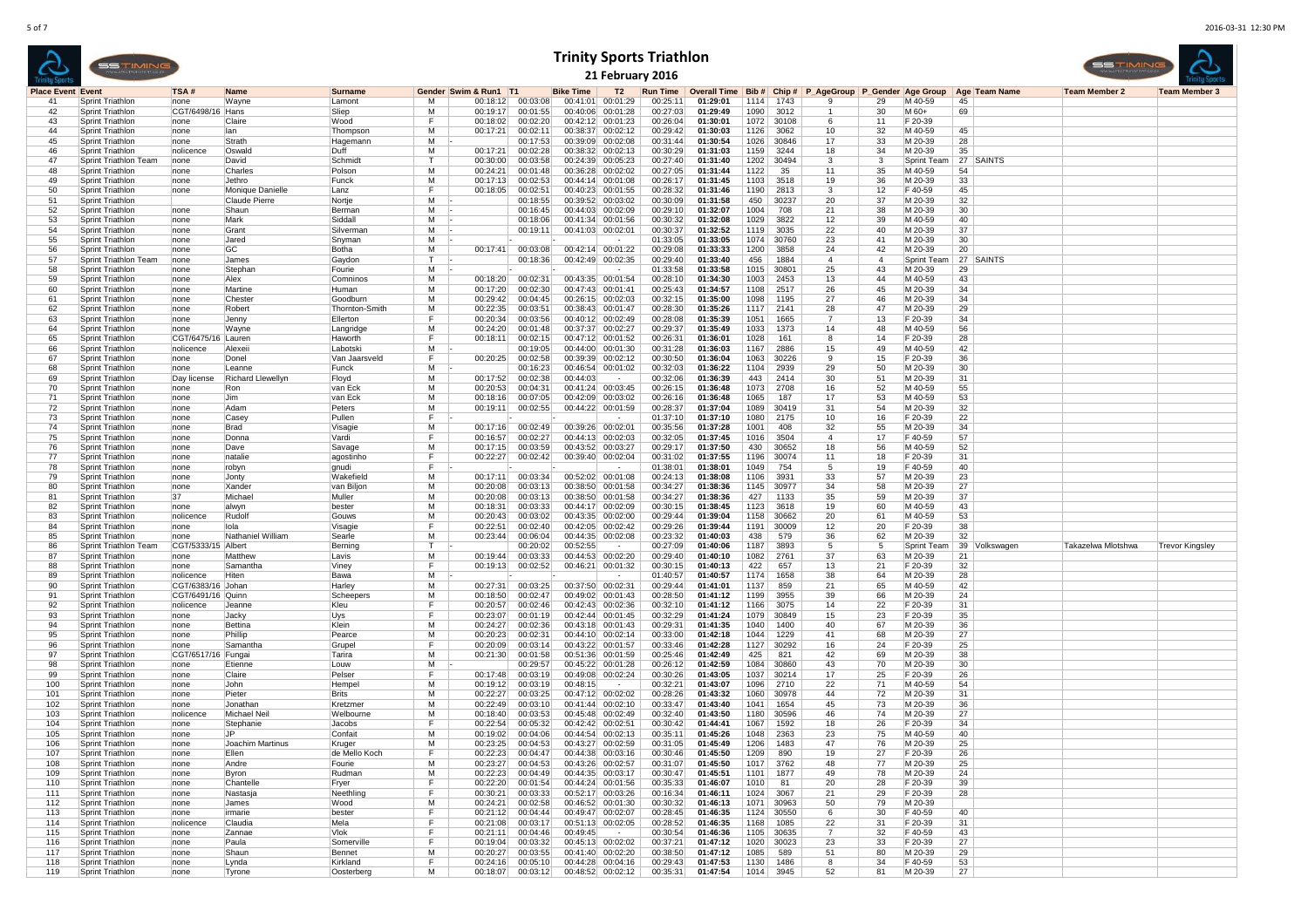## **Trinity Sports Triathlon**



 $\sim$ 

<u> The Company of the Company of the Company of the Company of the Company of the Company of the Company of the Company of the Company of the Company of the Company of the Company of the Company of the Company of the Compan</u>

| <b>Trinity Spo</b>             | SSTIMING                                  |                                |                          |                          |                              |                                   |                                     |                   | 21 February 2016                       |                             |                                 |              |                |                                                        |                        |          |                     | SSTIMING             |                      |
|--------------------------------|-------------------------------------------|--------------------------------|--------------------------|--------------------------|------------------------------|-----------------------------------|-------------------------------------|-------------------|----------------------------------------|-----------------------------|---------------------------------|--------------|----------------|--------------------------------------------------------|------------------------|----------|---------------------|----------------------|----------------------|
|                                |                                           | TSA#                           |                          |                          |                              |                                   |                                     |                   |                                        |                             |                                 |              |                |                                                        |                        |          |                     |                      |                      |
| <b>Place Event Event</b><br>41 | <b>Sprint Triathlon</b>                   | none                           | Name<br>Wayne            | <b>Surname</b><br>Lamont | м                            | Gender Swim & Run1 T1<br>00:18:12 | 00:03:08                            | <b>Bike Time</b>  | T2<br>00:41:01 00:01:29                | <b>Run Time</b><br>00:25:11 | <b>Overall Time</b><br>01:29:01 | 1114         | 1743           | Bib # Chip # P_AgeGroup P_Gender Age Group<br>29<br>-9 | M 40-59                |          | Age Team Name<br>45 | <b>Team Member 2</b> | <b>Team Member 3</b> |
| 42                             | Sprint Triathlon                          | CGT/6498/16 Hans               |                          | Sliep                    | м                            | 00:19:17                          | 00:01:55                            | 00:40:06          | 00:01:28                               | 00:27:03                    | 01:29:49                        | 1090         | 3012           | 30                                                     | M 60+                  | 69       |                     |                      |                      |
| 43                             | Sprint Triathlon                          | none                           | Claire                   | Wood                     | F                            | 00:18:02                          | 00:02:20                            |                   | 00:42:12 00:01:23                      | 00:26:04                    | 01:30:01                        | 1072         | 30108          | 6<br>11                                                | F 20-39                |          |                     |                      |                      |
| 44                             | Sprint Triathlon                          | none                           | llan.                    | Thompson                 | м                            | 00:17:21                          | 00:02:11                            |                   | 00:38:37 00:02:12                      | 00:29:42                    | 01:30:03                        | 1126         | 3062           | 32<br>10                                               | M 40-59                |          | 45                  |                      |                      |
| 45                             | Sprint Triathlon                          | none                           | Strath                   | Hagemann                 | М                            |                                   | 00:17:53                            |                   | 00:39:09 00:02:08                      | 00:31:44                    | 01:30:54                        | 1026         | 30846          | 17<br>33                                               | M 20-39                | 28       |                     |                      |                      |
| 46                             | Sprint Triathlon                          | nolicence                      | Oswald                   | Duff                     | м                            | 00:17:21                          | 00:02:28                            |                   | 00:38:32 00:02:13                      | 00:30:29                    | 01:31:03                        | 1159         | 3244           | 18<br>34                                               | M 20-39                | 35       |                     |                      |                      |
| 47<br>48                       | Sprint Triathlon Team<br>Sprint Triathlon | none                           | David                    | Schmidt                  | T.<br>м                      | 00:30:00<br>00:24:21              | 00:03:58<br>00:01:48                |                   | 00:24:39 00:05:23<br>00:36:28 00:02:02 | 00:27:40<br>00:27:05        | 01:31:40<br>01:31:44            | 1202         | 30494<br>35    | 3<br>3<br>35<br>11                                     | Sprint Team<br>M 40-59 | 54       | 27 SAINTS           |                      |                      |
| 49                             | Sprint Triathlon                          | none<br>none                   | Charles<br>Jethro        | Polson<br>Funck          | м                            | 00:17:13                          | 00:02:53                            |                   | 00:44:14 00:01:08                      | 00:26:17                    | 01:31:45                        | 1122<br>1103 | 3518           | 19<br>36                                               | M 20-39                | 33       |                     |                      |                      |
| 50                             | Sprint Triathlon                          | none                           | Monique Danielle         | Lanz                     | F                            | 00:18:05                          | 00:02:51                            |                   | 00:40:23 00:01:55                      | 00:28:32                    | 01:31:46                        | 1190         | 2813           | 3<br>12                                                | F 40-59                | 45       |                     |                      |                      |
| 51                             | <b>Sprint Triathlon</b>                   |                                | Claude Pierre            | Nortje                   | м                            |                                   | 00:18:55                            |                   | 00:39:52 00:03:02                      | 00:30:09                    | 01:31:58                        | 450          | 30237          | 20<br>37                                               | M 20-39                |          | 32                  |                      |                      |
| 52                             | Sprint Triathlon                          | none                           | Shaun                    | Berman                   | м                            |                                   | 00:16:45                            |                   | 00:44:03 00:02:09                      | 00:29:10                    | 01:32:07                        | 1004         | 708            | 21<br>38                                               | M 20-39                | 30       |                     |                      |                      |
| 53                             | Sprint Triathlon                          | none                           | Mark                     | Siddall                  | м                            |                                   | 00:18:06                            |                   | 00:41:34 00:01:56                      | 00:30:32                    | 01:32:08                        | 1029         | 3822           | 39<br>12                                               | M 40-59                | 40       |                     |                      |                      |
| 54                             | Sprint Triathlon                          | none                           | <b>Grant</b>             | Silverman                | м                            |                                   | 00:19:11                            |                   | 00:41:03 00:02:01                      | 00:30:37                    | 01:32:52                        | 1119         | 3035           | 22<br>40                                               | M 20-39                | 37       |                     |                      |                      |
| 55                             | Sprint Triathlon                          | none                           | Jared                    | Snyman                   | м                            |                                   |                                     |                   |                                        | 01:33:05                    | 01:33:05                        | 1074         | 30760          | 23<br>41                                               | M 20-39                | 30       |                     |                      |                      |
| 56<br>57                       | Sprint Triathlon<br>Sprint Triathlon Team | none                           | <b>GC</b>                | Botha                    | м<br>т                       | 00:17:41                          | 00:03:08<br>00:18:36                |                   | 00:42:14 00:01:22<br>00:42:49 00:02:35 | 00:29:08<br>00:29:40        | 01:33:33<br>01:33:40            | 1200<br>456  | 3858<br>1884   | 24<br>42<br>$\overline{4}$<br>4                        | M 20-39<br>Sprint Team | 20       | 27 SAINTS           |                      |                      |
| 58                             | Sprint Triathlon                          | none<br>none                   | James<br>Stephan         | Gaydon<br>Fourie         | м                            |                                   | ٠.                                  |                   | $\sim$                                 | 01:33:58                    | 01:33:58                        | 1015         | 30801          | 25<br>43                                               | M 20-39                | 29       |                     |                      |                      |
| 59                             | Sprint Triathlon                          | none                           | Alex                     | Comninos                 | M                            | 00:18:20                          | 00:02:31                            |                   | 00:43:35 00:01:54                      | 00:28:10                    | 01:34:30                        | 1003         | 2453           | 13<br>44                                               | M 40-59                | 43       |                     |                      |                      |
| 60                             | Sprint Triathlon                          | none                           | Martine                  | Human                    | м                            | 00:17:20                          | 00:02:30                            |                   | 00:47:43 00:01:41                      | 00:25:43                    | 01:34:57                        | 1108         | 2517           | 26<br>45                                               | M 20-39                | 34       |                     |                      |                      |
| 61                             | Sprint Triathlon                          | none                           | Chester                  | Goodburn                 | м                            | 00:29:42                          | 00:04:45                            |                   | 00:26:15 00:02:03                      | 00:32:15                    | 01:35:00                        | 1098         | 1195           | 27<br>46                                               | M 20-39                | 34       |                     |                      |                      |
| 62                             | Sprint Triathlon                          | none                           | Robert                   | Thornton-Smith           | м                            | 00:22:35                          | 00:03:51                            |                   | 00:38:43 00:01:47                      | 00:28:30                    | 01:35:26                        | 1117         | 2141           | 28<br>47                                               | M 20-39                | 29       |                     |                      |                      |
| 63                             | Sprint Triathlon                          | none                           | Jenny                    | Ellerton                 | F                            | 00:20:34                          | 00:03:56                            |                   | 00:40:12 00:02:49                      | 00:28:08                    | 01:35:39                        | 1051         | 1665           | 13                                                     | F 20-39                | 34       |                     |                      |                      |
| 64                             | Sprint Triathlon                          | none                           | Wayne                    | Langridge                | м<br>F                       | 00:24:20                          | 00:01:48                            |                   | 00:37:37 00:02:27                      | 00:29:37                    | 01:35:49                        | 1033         | 1373           | 48<br>14                                               | M 40-59                |          | 56                  |                      |                      |
| 65<br>66                       | Sprint Triathlon<br>Sprint Triathlon      | CGT/6475/16<br>nolicence       | Lauren<br>Alexei         | Haworth<br>Labotski      | м                            | 00:18:11                          | 00:02:15<br>00:19:05                |                   | 00:47:12 00:01:52<br>00:44:00 00:01:30 | 00:26:31<br>00:31:28        | 01:36:01<br>01:36:03            | 1028<br>1167 | 161<br>2886    | 14<br>8<br>15<br>49                                    | F 20-39<br>M 40-59     | 28<br>42 |                     |                      |                      |
| 67                             | Sprint Triathlon                          | none                           | Donel                    | Van Jaarsveld            | F                            | 00:20:25                          | 00:02:58                            |                   | 00:39:39 00:02:12                      | 00:30:50                    | 01:36:04                        | 1063         | 30226          | 9<br>15                                                | F 20-39                |          | 36                  |                      |                      |
| 68                             | Sprint Triathlon                          | none                           | Leanne                   | Funck                    | м                            |                                   | 00:16:23                            |                   | 00:46:54 00:01:02                      | 00:32:03                    | 01:36:22                        | 1104         | 2939           | 29<br>50                                               | M 20-39                | 30       |                     |                      |                      |
| 69                             | Sprint Triathlon                          | Day license                    | <b>Richard Llewellyn</b> | Floyd                    | м                            | 00:17:52                          | 00:02:38                            | 00:44:03          |                                        | 00:32:06                    | 01:36:39                        | 443          | 2414           | 30<br>51                                               | M 20-39                | 31       |                     |                      |                      |
| 70                             | Sprint Triathlon                          | none                           | <b>Ron</b>               | Ivan Eck                 | м                            | 00:20:53                          | 00:04:31                            |                   | 00:41:24 00:03:45                      | 00:26:15                    | 01:36:48                        | 1073         | 2708           | 16<br>52                                               | M 40-59                | 55       |                     |                      |                      |
| 71                             | <b>Sprint Triathlon</b>                   | none                           | Jim                      | Ivan Eck                 | м                            | 00:18:16                          | 00:07:05                            |                   | 00:42:09 00:03:02                      | 00:26:16                    | 01:36:48                        | 1065         | 187            | 17<br>53                                               | M 40-59                |          | 53                  |                      |                      |
| 72                             | Sprint Triathlon                          | none                           | Adam                     | Peters                   | м<br>F                       | 00:19:11                          | 00:02:55                            |                   | 00:44:22 00:01:59                      | 00:28:37                    | 01:37:04                        | 1089         | 30419          | 54<br>31                                               | M 20-39                | 32       |                     |                      |                      |
| 73<br>74                       | Sprint Triathlon<br>Sprint Triathlon      | none<br>none                   | Casey<br>Brad            | Pullen<br> Visagie       | м                            | 00:17:16                          | 00:02:49                            | 00:39:26 00:02:01 |                                        | 01:37:10<br>00:35:56        | 01:37:10<br>01:37:28            | 1080<br>1001 | 2175<br>408    | 10<br>16<br>32<br>55                                   | F 20-39<br>M 20-39     | 22<br>34 |                     |                      |                      |
| 75                             | Sprint Triathlon                          | none                           | <b>IDonna</b>            | Vardi                    | F                            | 00:16:57                          | 00:02:27                            |                   | 00:44:13 00:02:03                      | 00:32:05                    | 01:37:45                        | 1016         | 3504           | 17<br>$\overline{4}$                                   | F 40-59                | 57       |                     |                      |                      |
| 76                             | Sprint Triathlon                          | none                           | Dave                     | Savage                   | м                            | 00:17:15                          | 00:03:59                            |                   | 00:43:52 00:03:27                      | 00:29:17                    | 01:37:50                        | 430          | 30652          | 18<br>56                                               | M 40-59                | 52       |                     |                      |                      |
| 77                             | Sprint Triathlon                          | none                           | natalie                  | agostinho                | F                            | 00:22:27                          | 00:02:42                            |                   | 00:39:40 00:02:04                      | 00:31:02                    | 01:37:55                        | 1196         | 30074          | 11<br>18                                               | F 20-39                | 31       |                     |                      |                      |
| 78                             | Sprint Triathlon                          | none                           | robyn                    | gnudi                    | F                            |                                   |                                     |                   | $\sim$                                 | 01:38:01                    | 01:38:01                        | 1049         | 754            | 19<br>-5                                               | F 40-59                |          | 40                  |                      |                      |
| 79                             | Sprint Triathlon                          | none                           | Jonty                    | Wakefield                | м                            | 00:17:11                          | 00:03:34                            | 00:52:02 00:01:08 |                                        | 00:24:13                    | 01:38:08                        | 1106         | 3931           | 33<br>57                                               | M 20-39                | 23       |                     |                      |                      |
| 80                             | <b>Sprint Triathlon</b>                   | none                           | Xander                   | van Biljon               | м                            | 00:20:08                          | 00:03:13                            |                   | 00:38:50 00:01:58                      | 00:34:27                    | 01:38:36                        | 1145         | 30977          | 34<br>58                                               | M 20-39                | 27       |                     |                      |                      |
| 81                             | Sprint Triathlon                          | 37                             | Michael                  | Muller                   | м<br>м                       | 00:20:08                          | 00:03:13                            |                   | 00:38:50 00:01:58                      | 00:34:27                    | 01:38:36                        | 427          | 1133           | 59<br>35                                               | M 20-39                | 37       |                     |                      |                      |
| 82<br>83                       | Sprint Triathlon<br>Sprint Triathlon      | none<br>nolicence              | alwyn<br>Rudolf          | bester<br>Gouws          | м                            | 00:18:31<br>00:20:43              | 00:03:33<br>00:03:02                |                   | 00:44:17 00:02:09<br>00:43:35 00:02:00 | 00:30:15<br>00:29:44        | 01:38:45<br>01:39:04            | 1123<br>1158 | 3618<br>30662  | 60<br>19<br>20<br>61                                   | M 40-59<br>M 40-59     | 53       | 43                  |                      |                      |
| 84                             | <b>Sprint Triathlon</b>                   | none                           | lola                     | Visagie                  | F                            | 00:22:51                          | 00:02:40                            |                   | 00:42:05 00:02:42                      | 00:29:26                    | 01:39:44                        | 1191         | 30009          | 12<br>20                                               | F 20-39                | 38       |                     |                      |                      |
| 85                             | Sprint Triathlon                          | none                           | Nathaniel William        | Searle                   | м                            | 00:23:44                          | 00:06:04                            |                   | 00:44:35 00:02:08                      | 00:23:32                    | 01:40:03                        | 438          | 579            | 36<br>62                                               | M 20-39                | 32       |                     |                      |                      |
| 86                             | Sprint Triathlon Team                     | CGT/5333/15 Albert             |                          | Berning                  | T.                           |                                   | 00:20:02                            | 00:52:55          | $\sim$                                 | 00:27:09                    | 01:40:06                        | 1187         | 3893           | 5<br>-5                                                | Sprint Team            |          | 39 Volkswagen       | Takazelwa Mlotshwa   | Trevor Kingsley      |
| 87                             | Sprint Triathlon                          | none                           | Matthew                  | Lavis                    | м                            | 00:19:44                          | 00:03:33                            |                   | 00:44:53 00:02:20                      | 00:29:40                    | 01:40:10                        | 1082         | 2761           | 37<br>63                                               | M 20-39                | 21       |                     |                      |                      |
| 88                             | <b>Sprint Triathlon</b>                   | none                           | Samantha                 | Viney                    | F                            | 00:19:13                          | 00:02:52                            |                   | 00:46:21 00:01:32                      | 00:30:15                    | 01:40:13                        | 422          | 657            | 13<br>21                                               | F 20-39                | 32       |                     |                      |                      |
| 89                             | Sprint Triathlon                          | nolicence                      | <b>Hiten</b>             | Bawa                     | м                            |                                   |                                     |                   |                                        | 01:40:57                    | 01:40:57                        | 1174         | 1658           | 38<br>64                                               | M 20-39                | 28       |                     |                      |                      |
| 90                             | Sprint Triathlon                          | CGT/6383/16 Johan              |                          | Harley                   | м<br>$\overline{\mathsf{M}}$ | 00:27:31                          | 00:03:25                            |                   | 00:37:50 00:02:31                      | 00:29:44                    | 01:41:01                        | 1137         | 859            | 21<br>65                                               | M 40-59                | 42       |                     |                      |                      |
| 91<br>92                       | Sprint Triathlon<br>Sprint Triathlon      | CGT/6491/16 Quinn<br>nolicence | Jeanne                   | Scheepers<br>Kleu        | F                            | 00:18:50<br>00:20:57              | 00:02:47<br>00:02:46                |                   | 00:49:02 00:01:43<br>00:42:43 00:02:36 | 00:28:50<br>00:32:10        | 01:41:12<br>01:41:12            | 1199<br>1166 | 3955<br>3075   | 39<br>66<br>22<br>14                                   | M 20-39<br>F 20-39     | 24<br>31 |                     |                      |                      |
| 93                             | Sprint Triathlon                          | none                           | <b>Jackv</b>             | Uys                      | F                            | 00:23:07                          | 00:01:19                            |                   | 00:42:44 00:01:45                      | 00:32:29                    | 01:41:24                        | 1079         | 30849          | 15<br>23                                               | F 20-39                | 35       |                     |                      |                      |
| 94                             | Sprint Triathlon                          | none                           | Bettina                  | Klein                    | м                            | 00:24:27                          | 00:02:36                            |                   | 00:43:18 00:01:43                      | 00:29:31                    | 01:41:35                        | 1040         | 1400           | 40<br>67                                               | M 20-39                | 36       |                     |                      |                      |
| 95                             | Sprint Triathlon                          | none                           | Phillip                  | Pearce                   | м                            | 00:20:23                          | 00:02:31                            |                   | 00:44:10 00:02:14                      | 00:33:00                    | 01:42:18                        | 1044         | 1229           | 41<br>68                                               | M 20-39                | 27       |                     |                      |                      |
| 96                             | Sprint Triathlon                          | none                           | Samantha                 | Grupel                   | F.                           | 00:20:09                          | 00:03:14                            |                   | 00:43:22 00:01:57                      | 00:33:46                    | 01:42:28                        | 1127         | 30292          | 16<br>24                                               | F 20-39                | 25       |                     |                      |                      |
| 97                             | Sprint Triathlon                          | CGT/6517/16   Fungai           |                          | Tarira                   | м                            | 00:21:30                          | 00:01:58                            |                   | 00:51:36 00:01:59                      | 00:25:46                    | 01:42:49                        | 425          | 821            | 42<br>69                                               | M 20-39                | 38       |                     |                      |                      |
| 98<br>99                       | Sprint Triathlon<br>Sprint Triathlon      | none                           | Etienne                  | Louw<br>Pelser           | м<br>F                       | 00:17:48                          | 00:29:57<br>00:03:19                |                   | 00:45:22 00:01:28<br>00:49:08 00:02:24 | 00:26:12<br>00:30:26        | 01:42:59<br>01:43:05            | 1084<br>1037 | 30860<br>30214 | 43<br>70<br>17<br>25                                   | M 20-39<br>F 20-39     | 30<br>26 |                     |                      |                      |
| 100                            | Sprint Triathlon                          | none<br>none                   | Claire<br>John           | Hempe                    | м                            | 00:19:12                          | 00:03:19                            | 00:48:15          |                                        | 00:32:21                    | 01:43:07                        | 1096         | 2710           | 22<br>71                                               | M 40-59                | 54       |                     |                      |                      |
| 101                            | Sprint Triathlon                          | none                           | Pieter                   | <b>Brits</b>             | м                            | 00:22:27                          | 00:03:25                            |                   | 00:47:12 00:02:02                      | 00:28:26                    | 01:43:32                        | 1060         | 30978          | 72<br>44                                               | M 20-39                | 31       |                     |                      |                      |
| 102                            | Sprint Triathlon                          | none                           | Jonathan                 | Kretzmer                 | м                            | 00:22:49                          | 00:03:10                            |                   | 00:41:44 00:02:10                      | 00:33:47                    | 01:43:40                        | 1041         | 1654           | 45<br>73                                               | M 20-39                | 36       |                     |                      |                      |
| 103                            | Sprint Triathlon                          | nolicence                      | Michael Neil             | Welbourne                | м                            | 00:18:40                          | 00:03:53                            |                   | 00:45:48 00:02:49                      | 00:32:40                    | 01:43:50                        | 1180         | 30596          | 46<br>74                                               | M 20-39                | 27       |                     |                      |                      |
| 104                            | Sprint Triathlon                          | none                           | Stephanie                | Jacobs                   | F                            | 00:22:54                          | 00:05:32                            |                   | 00:42:42 00:02:51                      | 00:30:42                    | 01:44:41                        | 1067         | 1592           | 18<br>26                                               | F 20-39                | 34       |                     |                      |                      |
| 105                            | Sprint Triathlon                          | none                           | .JP                      | Confait                  | м                            | 00:19:02                          | 00:04:06                            |                   | 00:44:54 00:02:13                      | 00:35:11                    | 01:45:26                        | 1048         | 2363           | 23<br>75                                               | M 40-59                |          | 40                  |                      |                      |
| 106                            | Sprint Triathlon                          | none                           | IJoachim Martinus        | Kruger                   | м                            | 00:23:25                          | 00:04:53                            |                   | 00:43:27 00:02:59                      | 00:31:05                    | 01:45:49                        | 1206         | 1483           | 47<br>76                                               | M 20-39                | 25       |                     |                      |                      |
| 107<br>108                     | Sprint Triathlon                          | none<br>none                   | Ellen                    | de Mello Koch            | F<br>м                       | 00:22:23<br>00:23:27              | 00:04:47                            |                   | 00:44:38 00:03:16<br>00:43:26 00:02:57 | 00:30:46<br>00:31:07        | 01:45:50                        | 1209         | 890            | 19<br>27<br>48<br>77                                   | F 20-39                | 26<br>25 |                     |                      |                      |
| 109                            | Sprint Triathlon<br>Sprint Triathlon      | none                           | Andre<br>Byron           | Fourie<br>Rudman         | м                            | 00:22:23                          | 00:04:53<br>00:04:49                |                   | 00:44:35 00:03:17                      | 00:30:47                    | 01:45:50<br>01:45:51            | 1017<br>1101 | 3762<br>1877   | 49<br>78                                               | M 20-39<br>M 20-39     | 24       |                     |                      |                      |
| 110                            | Sprint Triathlon                          | Inone                          | Chantelle                | Fryer                    | F                            | 00:22:20                          | 00:01:54                            |                   | 00:44:24 00:01:56                      | 00:35:33                    | 01:46:07                        | 1010         | 81             | 20<br>28                                               | F 20-39                | 39       |                     |                      |                      |
| 111                            | Sprint Triathlon                          | none                           | Nastasja                 | Neethling                | F                            | 00:30:21                          | 00:03:33                            |                   | 00:52:17 00:03:26                      | 00:16:34                    | 01:46:11                        | 1024         | 3067           | 21<br>29                                               | F 20-39                | 28       |                     |                      |                      |
| 112                            | Sprint Triathlon                          | Inone                          | James                    | Wood                     | м                            | 00:24:21                          | 00:02:58                            |                   | 00:46:52 00:01:30                      | 00:30:32                    | 01:46:13                        |              | 1071 30963     | 50<br>79                                               | M 20-39                |          |                     |                      |                      |
| 113                            | Sprint Triathlon                          | Inone                          | irmarie                  | bester                   | F.                           | 00:21:12                          | 00:04:44                            |                   | 00:49:47 00:02:07                      | 00:28:45                    | 01:46:35                        |              | 1124 30550     | -6<br>30                                               | F 40-59                |          | 40                  |                      |                      |
| 114                            | Sprint Triathlon                          | nolicence                      | Claudia                  | Mela                     | F                            | 00:21:08                          | 00:03:17                            |                   | 00:51:13 00:02:05                      | 00:28:52                    | 01:46:35                        | 1168         | 1085           | 22<br>31                                               | F 20-39                | 31       |                     |                      |                      |
| 115                            | Sprint Triathlon                          | none                           | Zannae                   | Vlok                     | F<br>F                       | 00:21:11                          | 00:04:46                            | 00:49:45          | $\sim$                                 | 00:30:54                    | 01:46:36                        | 1105         | 30635          | $\overline{7}$<br>32                                   | F 40-59                | 43       |                     |                      |                      |
| 116<br>117                     | Sprint Triathlon<br>Sprint Triathlon      | none<br>none                   | Paula<br>Shaun           | Somerville<br>Bennet     | М                            | 00:19:04<br>00:20:27              | 00:03:32<br>00:03:55                |                   | 00:45:13 00:02:02<br>00:41:40 00:02:20 | 00:37:21<br>00:38:50        | 01:47:12<br>01:47:12            | 1020<br>1085 | 30023<br>589   | 23<br>33<br>80<br>51                                   | F 20-39<br>M 20-39     | 27       | 29                  |                      |                      |
| 118                            | Sprint Triathlon                          | Inone                          | Lynda                    | Kirkland                 | F                            | 00:24:16                          | 00:05:10                            | 00:44:28 00:04:16 |                                        | 00:29:43                    | 01:47:53                        | 1130         | 1486           | 8<br>34                                                | F 40-59                |          | 53                  |                      |                      |
| 119                            | Sprint Triathlon                          | none                           | Tyrone                   | Oosterberg               | м                            |                                   | 00:18:07 00:03:12 00:48:52 00:02:12 |                   |                                        |                             | 00:35:31   01:47:54             |              | $ 1014 $ 3945  | 52<br>81                                               | M 20-39                | 27       |                     |                      |                      |
|                                |                                           |                                |                          |                          |                              |                                   |                                     |                   |                                        |                             |                                 |              |                |                                                        |                        |          |                     |                      |                      |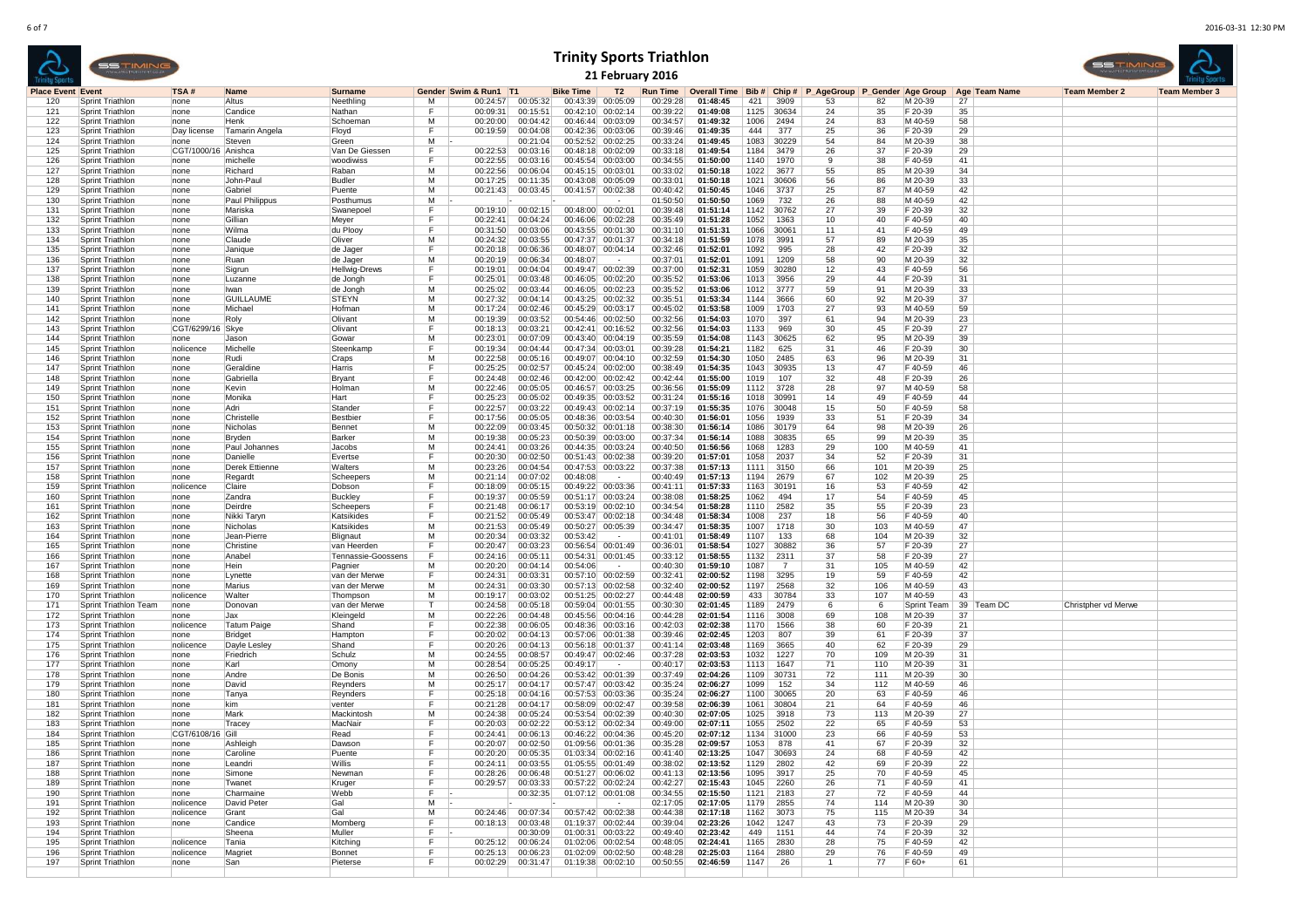|                          | <b>SSTIMING</b><br>WWW.SRECTRUMSFORT.CO.IA |                     |                |                |   |                       |          |                   |                   | <b>Trinity Sports Triathlon</b><br>21 February 2016 |                                                                                                |            |      |    |    |         |      | SSTIMIN<br>WWW.SHETRUHSFORT.CO |                      |
|--------------------------|--------------------------------------------|---------------------|----------------|----------------|---|-----------------------|----------|-------------------|-------------------|-----------------------------------------------------|------------------------------------------------------------------------------------------------|------------|------|----|----|---------|------|--------------------------------|----------------------|
| <b>Place Event Event</b> |                                            | TSA#                | <b>Name</b>    | <b>Surname</b> |   | Gender Swim & Run1 T1 |          | <b>Bike Time</b>  | T2                |                                                     | Run Time   Overall Time   Bib #   Chip #   P AgeGroup   P Gender   Age Group   Age   Team Name |            |      |    |    |         |      | <b>Team Member 2</b>           | <b>Team Member 3</b> |
| 120                      | Sprint Triathlon                           | none                | Altus          | Neethling      | м | 00:24:57              | 00:05:32 |                   | 00:43:39 00:05:09 | 00:29:28                                            | 01:48:45                                                                                       | 421        | 3909 | 53 | 82 | M 20-39 | 27   |                                |                      |
| 121                      | Sprint Triathlon                           | none                | Candice        | Nathan         |   | 00:09:31              | 00:15:51 |                   | 00:42:10 00:02:14 | 00:39:22                                            | 01:49:08                                                                                       | 1125 30634 |      | 24 | 35 | F 20-39 | 35   |                                |                      |
| 122                      | Sprint Triathlon                           | none                | Henk           | Schoeman       | м | 00:20:00              | 00:04:42 | 00:46:44 00:03:09 |                   | 00:34:57                                            | 01:49:32                                                                                       | 1006 2494  |      | 24 | 83 | M 40-59 | 58   |                                |                      |
| 123                      | Sprint Triathlon                           | Day license         | Tamarin Angela | Floyd          |   | 00:19:59              | 00:04:08 |                   | 00:42:36 00:03:06 | 00:39:46                                            | 01:49:35                                                                                       | 444        | 377  | 25 | 36 | F 20-39 | 29   |                                |                      |
| 124                      | Sprint Triathlon                           | none                | Steven         | Green          | м |                       | 00:21:04 |                   | 00:52:52 00:02:25 | 00:33:24                                            | 01:49:45                                                                                       | 1083 30229 |      | 54 | 84 | M 20-39 | 38   |                                |                      |
| 125                      | Sprint Triathlon                           | CGT/1000/16 Anishca |                | Van De Giessen |   | 00:22:53              | 00:03:16 |                   | 00:48:18 00:02:09 | 00:33:18                                            | 01:49:54                                                                                       | 1184 3479  |      | 26 | 37 | F 20-39 | 29   |                                |                      |
| 126                      | Sprint Triathlon                           | none                | michelle       | woodiwiss      |   | 00:22:55              | 00:03:16 |                   | 00:45:54 00:03:00 | 00:34:55                                            | 01:50:00                                                                                       | 1140 1970  |      |    | 38 | F 40-59 | 41   |                                |                      |
| 127                      | Sprint Triathlon                           | none                | Richard        | Raban          | м | 00:22:56              | 00:06:04 | 00:45:15 00:03:01 |                   | 00:33:02                                            | 01:50:18                                                                                       | 1022 3677  |      | 55 | 85 | M 20-39 | 34   |                                |                      |
| 128                      | Sprint Triathlon                           | none                | John-Paul      | Budler         | м | 00:17:25              | 00:11:35 |                   | 00:43:08 00:05:09 | 00:33:01                                            | 01:50:18                                                                                       | 1021 30606 |      | 56 | 86 | M 20-39 | . 33 |                                |                      |
| 129                      | Sprint Triathlon                           | none                | Gabriel        | Puente         | м | 00:21:43              | 00:03:45 |                   | 00:41:57 00:02:38 | 00:40:42                                            | 01:50:45                                                                                       | 1046 3737  |      |    | 87 | M 40-59 | 42   |                                |                      |

## **Trinity Sports Triathlon21 February 2016**



| 121 | Sprint Triathlon        | none                | Candice            | Nathan               |    | 00:09:31 | 00.15.51 | 00.42.10 | በበ በ2 14              | 00.39.22 | 01:49:08     | 1125 | 30634          | 24 | 35  | F 20-39     | -35 |            |                     |  |
|-----|-------------------------|---------------------|--------------------|----------------------|----|----------|----------|----------|-----------------------|----------|--------------|------|----------------|----|-----|-------------|-----|------------|---------------------|--|
| 122 | Sprint Triathlon        | none                | Henk               | Schoemar             | M  | 00:20:00 | 00:04:42 |          | 00:46:44 00:03:09     | 00:34:57 | 01:49:32     | 1006 | 2494           | 24 | 83  | M 40-59     | 58  |            |                     |  |
| 123 | Sprint Triathlon        | Day license         | Tamarin Angela     | Floyd                |    | 00:19:59 | 00:04:08 |          | 00:42:36 00:03:06     | 00:39:46 | 01:49:35     | 444  | 377            | 25 | 36  | F 20-39     | 29  |            |                     |  |
| 124 | Sprint Triathlon        | none                | Steven             | Green                | M  |          | 00:21:04 |          | 00:52:52 00:02:25     | 00:33:24 | 01:49:45     | 1083 | 30229          | 54 | 84  | M 20-39     | 38  |            |                     |  |
| 125 |                         |                     |                    |                      | F. | 00:22:53 | 00:03:16 |          | 00:48:18 00:02:09     | 00:33:18 | 01:49:54     | 1184 | 3479           | 26 | 37  | F 20-39     | 29  |            |                     |  |
|     | <b>Sprint Triathlon</b> | CGT/1000/16 Anishca |                    | Van De Giessen       |    |          |          |          |                       |          |              |      |                |    |     |             |     |            |                     |  |
| 126 | Sprint Triathlon        | none                | michelle           | woodiwiss            |    | 00:22:55 | 00.03.16 |          | 00:45:54 00:03:00     | 00:34:55 | 01.50.00     | 1140 | 1970           | 9  | 38  | F 40-59     | 41  |            |                     |  |
| 127 | Sprint Triathlon        | none                | Richard            | Raban                | M  | 00:22:56 | 00:06:04 |          | 00:45:15 00:03:01     | 00:33:02 | 01:50:18     | 1022 | 3677           | 55 | 85  | M 20-39     | 34  |            |                     |  |
| 128 | <b>Sprint Triathlon</b> | none                | John-Paul          | <b>Budler</b>        | м  | 00:17:25 | 00:11:35 | 00:43:08 | 00:05:09              | 00:33:01 | 01:50:18     | 1021 | 30606          | 56 | 86  | M 20-39     | 33  |            |                     |  |
| 129 | <b>Sprint Triathlon</b> | none                | Gabriel            | Puente               | м  | 00:21:43 | 00:03:45 | 00:41:57 | 00:02:38              | 00:40:42 | 01:50:45     | 1046 | 3737           | 25 | 87  | M 40-59     | 42  |            |                     |  |
| 130 | Sprint Triathlon        | none                |                    | Posthumus            | м  |          |          |          |                       | 01:50:50 | 01:50:50     | 1069 | 732            | 26 | 88  | M 40-59     | 42  |            |                     |  |
|     |                         |                     | Paul Philippus     |                      |    |          |          |          |                       |          |              |      |                |    |     |             |     |            |                     |  |
| 131 | <b>Sprint Triathlon</b> | none                | Mariska            | Swanepoe             | Е  | 00:19:10 | 00:02:15 | 00:48:00 | 00:02:01              | 00:39:48 | 01:51:14     | 1142 | 30762          | 27 | 39  | F 20-39     | 32  |            |                     |  |
| 132 | Sprint Triathlon        | none                | Gillian            | Mever                |    | 00:22:41 | 00:04:24 |          | $00:46:06$ 00:02:28   | 00:35:49 | 01:51:28     | 1052 | 1363           | 10 | 40  | F 40-59     | 40  |            |                     |  |
| 133 | Sprint Triathlon        | none                | Wilma              | du Plooy             | E  | 00:31:50 | 00:03:06 |          | $00:43:55$ $00:01:30$ | 00:31:10 | 01:51:31     | 1066 | 30061          | 11 | 41  | F 40-59     | 49  |            |                     |  |
| 134 | Sprint Triathlon        | none                | Claude             | Oliver               | M  | 00:24:32 | 00:03:55 |          | 00:47:37 00:01:37     | 00:34:18 | 01:51:59     | 1078 | 3991           | 57 | 89  | M 20-39     | 35  |            |                     |  |
| 135 | <b>Sprint Triathlon</b> | none                |                    | de Jager             | Е  | 00:20:18 | 00:06:36 |          | $00:48:07$ 00:04:14   | 00:32:46 | 01:52:01     | 1092 | 995            | 28 | 42  | F 20-39     | 32  |            |                     |  |
|     |                         |                     | Janique            |                      |    |          |          |          |                       |          |              |      |                |    |     |             |     |            |                     |  |
| 136 | Sprint Triathlon        | none                | Ruan               | de Jager             | м  | 00:20:19 | 00:06:34 | 00:48:07 |                       | 00:37:01 | 01:52:01     | 1091 | 1209           | 58 | 90  | M 20-39     | 32  |            |                     |  |
| 137 | <b>Sprint Triathlon</b> | none                | Sigrun             | <b>Hellwig-Drews</b> | Е  | 00:19:01 | 00:04:04 |          | 00:49:47 00:02:39     | 00:37:00 | 01:52:31     |      | 1059 30280     | 12 | 43  | F 40-59     | 56  |            |                     |  |
| 138 | <b>Sprint Triathlon</b> | none                | Luzanne            | de Jongh             | Е  | 00:25:01 | 00:03:48 |          | 00:46:05 00:02:20     | 00:35:52 | 01:53:06     | 1013 | 3956           | 29 | 44  | F 20-39     | 31  |            |                     |  |
| 139 | Sprint Triathlon        | none                | Ilwan              | de Jona              | M  | 00:25:02 | 00:03:44 |          | 00:46:05 00:02:23     | 00:35:52 | 01:53:06     | 1012 | 3777           | 59 | 91  | M 20-39     | 33  |            |                     |  |
| 140 | Sprint Triathlon        | none                | <b>GUILLAUME</b>   | <b>STEYN</b>         | M  | 00:27:32 | 00:04:14 |          | 00:43:25 00:02:32     | 00:35:51 | 01:53:34     | 1144 | 3666           | 60 | 92  | M 20-39     | 37  |            |                     |  |
|     |                         |                     |                    |                      |    |          |          |          |                       |          |              |      |                |    |     |             |     |            |                     |  |
| 141 | <b>Sprint Triathlon</b> | none                | Michae             | Hofman               | м  | 00:17:24 | 00:02:46 |          | 00:45:29 00:03:17     | 00:45:02 | 01:53:58     | 1009 | 1703           | 27 | 93  | M 40-59     | 59  |            |                     |  |
| 142 | <b>Sprint Triathlon</b> | none                | Roly               | Olivant              | м  | 00:19:39 | 00:03:52 |          | 00:54:46 00:02:50     | 00:32:56 | 01:54:03     | 1070 | 397            | 61 | 94  | M 20-39     | 23  |            |                     |  |
| 143 | Sprint Triathlon        | CGT/6299/16   Skye  |                    | Olivant              | Е  | 00:18:13 | 00:03:21 |          | 00:42:41 00:16:52     | 00:32:56 | 01:54:03     | 1133 | 969            | 30 | 45  | F 20-39     | 27  |            |                     |  |
| 144 | <b>Sprint Triathlon</b> | none                | Jason              | Gowar                | м  | 00:23:01 | 00:07:09 |          | 00:43:40 00:04:19     | 00:35:59 | 01:54:08     | 1143 | 30625          | 62 | 95  | M 20-39     | 39  |            |                     |  |
| 145 | Sprint Triathlon        | nolicence           | Michelle           | Steenkamp            | F  | 00:19:34 | 00:04:44 |          | 00:47:34 00:03:01     | 00:39:28 | 01:54:21     | 1182 | 625            | 31 | 46  | F 20-39     | 30  |            |                     |  |
| 146 | Sprint Triathlon        | none                | Rudi               |                      | M  | 00:22:58 | 00:05:16 |          | 00:49:07 00:04:10     | 00:32:59 | 01:54:30     | 1050 | 2485           | 63 | 96  | M 20-39     | 31  |            |                     |  |
|     |                         |                     |                    | Craps                |    |          |          |          |                       |          |              |      |                |    |     |             |     |            |                     |  |
| 147 | Sprint Triathlon        | none                | Geraldine          | Harris               | F. | 00:25:25 | 00:02:57 |          | 00:45:24 00:02:00     | 00:38:49 | 01:54:35     |      | 1043 30935     | 13 | 47  | F 40-59     | 46  |            |                     |  |
| 148 | Sprint Triathlon        | none                | Gabriella          | Bryant               | Е  | 00:24:48 | 00:02:46 |          | $00:42:00$ $00:02:42$ | 00:42:44 | 01:55:00     | 1019 | 107            | 32 | 48  | F 20-39     | 26  |            |                     |  |
| 149 | Sprint Triathlon        | none                | Kevin              | Holmar               | м  | 00:22:46 | 00:05:05 |          | 00:46:57 00:03:25     | 00:36:56 | 01:55:09     |      | 1112 3728      | 28 | 97  | M 40-59     | 58  |            |                     |  |
| 150 | Sprint Triathlon        | none                | ∣Monika            | Hart                 | F  | 00:25:23 | 00:05:02 |          | 00:49:35 00:03:52     | 00.31.24 | $01.55 - 16$ | 1018 | 30991          | 14 | 49  | F 40-59     | 44  |            |                     |  |
| 151 | Sprint Triathlon        | none                | Adri               | Stander              | F  | 00:22:57 | 00:03:22 |          | 00:49:43 00:02:14     | 00:37:19 | 01:55:35     | 1076 | 30048          | 15 | 50  | F 40-59     | 58  |            |                     |  |
| 152 | <b>Sprint Triathlon</b> |                     | Christelle         | <b>Bestbier</b>      |    | 00:17:56 | 00:05:05 |          | 00:48:36 00:03:54     | 00:40:30 | 01:56:01     | 1056 | 1939           | 33 | 51  | F 20-39     | 34  |            |                     |  |
|     |                         | none                |                    |                      |    |          |          |          |                       |          |              |      |                |    |     |             |     |            |                     |  |
| 153 | Sprint Triathlon        | none                | Nicholas           | Bennet               | M  | 00:22:09 | 00:03:45 | 00:50:32 | 00:01:18              | 00:38:30 | 01:56:14     | 1086 | 30179          | 64 | 98  | M 20-39     | 26  |            |                     |  |
| 154 | Sprint Triathlon        | none                | Bryden             | Barker               | м  | 00:19:38 | 00:05:23 |          | 00:50:39 00:03:00     | 00:37:34 | 01:56:14     | 1088 | 30835          | 65 | 99  | M 20-39     | 35  |            |                     |  |
| 155 | <b>Sprint Triathlon</b> | none                | Paul Johannes      | Jacobs               | м  | 00:24:41 | 00:03:26 |          | 00:44:35 00:03:24     | 00:40:50 | 01:56:56     | 1068 | 1283           | 29 | 100 | M 40-59     | 41  |            |                     |  |
| 156 | <b>Sprint Triathlon</b> | none                | Danielle           | Evertse              | E  | 00:20:30 | 00:02:50 |          | $00:51:43$ 00:02:38   | 00:39:20 | 01:57:01     | 1058 | 2037           | 34 | 52  | F 20-39     | 31  |            |                     |  |
| 157 | Sprint Triathlon        |                     |                    | Walters              | M  | 00:23:26 | 00:04:54 |          | 00:47:53 00:03:22     | 00:37:38 | 01:57:13     | 1111 | 3150           | 66 | 101 | M 20-39     | 25  |            |                     |  |
|     |                         | none                | Derek Ettienne     |                      |    |          |          |          |                       |          |              |      |                |    |     |             |     |            |                     |  |
| 158 | Sprint Triathlon        | none                | Regardt            | Scheepers            | M  | 00:21:14 | 00:07:02 | 00:48:08 |                       | 00:40:49 | 01:57:13     | 1194 | 2679           | 67 | 102 | M 20-39     | 25  |            |                     |  |
| 159 | <b>Sprint Triathlon</b> | nolicence           |                    |                      |    |          |          |          |                       |          |              |      |                |    |     |             |     |            |                     |  |
|     |                         |                     | Claire             | Dobson               | F  | 00:18:09 | 00:05:15 |          | 00:49:22 00:03:36     | 00:41:11 | 01:57:33     | 1163 | 30191          | 16 | 53  | F 40-59     | 42  |            |                     |  |
| 160 | Sprint Triathlon        | none                | Zandra             |                      | F  | 00:19:37 | 00:05:59 |          | 00:51:17 00:03:24     | 00:38:08 | 01:58:25     | 1062 | 494            | 17 | 54  | F 40-59     | 45  |            |                     |  |
|     |                         |                     |                    | <b>Buckley</b>       | F  |          |          |          |                       |          |              |      |                |    |     |             |     |            |                     |  |
| 161 | Sprint Triathlon        | none                | Deirdre            | Scheepers            |    | 00:21:48 | 00:06:17 |          | 00:53:19 00:02:10     | 00:34:54 | 01:58:28     |      | 1110 2582      | 35 | 55  | F 20-39     | 23  |            |                     |  |
| 162 | <b>Sprint Triathlon</b> | none                | Nikki Taryn        | Katsikides           |    | 00:21:52 | 00:05:49 |          | 00:53:47 00:02:18     | 00:34:48 | 01:58:34     | 1008 | 237            | 18 | 56  | F 40-59     | 40  |            |                     |  |
| 163 | Sprint Triathlon        | none                | Nicholas           | Katsikides           | м  | 00:21:53 | 00:05:49 |          | 00:50:27 00:05:39     | 00:34:47 | 01:58:35     | 1007 | 1718           | 30 | 103 | M 40-59     | 47  |            |                     |  |
| 164 | Sprint Triathlon        | none                | Jean-Pierre        | Blignaut             | M  | 00:20:34 | 00:03:32 | 00:53:42 | $\sim$                | 00:41:01 | 01:58:49     | 1107 | 133            | 68 | 104 | M 20-39     | 32  |            |                     |  |
| 165 | <b>Sprint Triathlon</b> | none                | Christine          | van Heerden          | F  | 00:20:47 | 00:03:23 |          | 00:56:54 00:01:49     | 00:36:01 | 01:58:54     | 1027 | 30882          | 36 | 57  | F 20-39     | 27  |            |                     |  |
| 166 |                         |                     | Anabel             |                      |    | 00:24:16 |          |          | 00:01:45              |          |              | 1132 |                | 37 |     |             |     |            |                     |  |
|     | <b>Sprint Triathlon</b> | none                |                    | Tennassie-Goossens   |    |          | 00:05:11 | 00:54:31 | $\sim$                | 00:33:12 | 01:58:55     |      | 2311           |    | 58  | F 20-39     | 27  |            |                     |  |
| 167 | Sprint Triathlon        | none                | Hein               | Pagnier              | м  | 00:20:20 | 00:04:14 | 00:54:06 |                       | 00:40:30 | 01:59:10     | 1087 | $\overline{7}$ | 31 | 105 | M 40-59     | 42  |            |                     |  |
| 168 | <b>Sprint Triathlon</b> | none                | Lynette            | van der Merwe        | Е  | 00:24:31 | 00:03:31 |          | 00:57:10 00:02:59     | 00:32:41 | 02:00:52     | 1198 | 3295           | 19 | 59  | F 40-59     | 42  |            |                     |  |
| 169 | Sprint Triathlon        | none                | Marius             | van der Merwe        | M  | 00:24:31 | 00.03:30 |          | 00:57:13 00:02:58     | 00:32:40 | 02:00:52     | 1197 | 2568           | 32 | 106 | M 40-59     | 43  |            |                     |  |
| 170 | Sprint Triathlon        | nolicence           | Walter             | Thompson             | м  | 00:19:17 | 00:03:02 |          | 00:51:25 00:02:27     | 00:44:48 | 02:00:59     | 433  | 30784          | 33 | 107 | M 40-59     | 43  |            |                     |  |
| 171 | Sprint Triathlon Team   | Inone               | Donovan            | van der Merwe        |    | 00:24:58 | 00:05:18 |          | 00:59:04 00:01:55     | 00:30:30 | 02:01:45     | 1189 | 2479           | 6  | 6   | Sprint Team |     | 39 Team DC | Christpher vd Merwe |  |
| 172 |                         |                     | Jax.               |                      | м  | 00:22:26 | 00:04:48 |          |                       | 00:44:28 | 02:01:54     | 1116 | 3008           | 69 |     |             | 37  |            |                     |  |
|     | Sprint Triathlon        | none                |                    | Kleingeld            | Е  |          |          |          | 00:45:56 00:04:16     |          |              |      |                |    | 108 | M 20-39     |     |            |                     |  |
| 173 | Sprint Triathlon        | nolicence           | <b>Tatum Paige</b> | Shand                |    | 00:22:38 | 00:06:05 |          | 00:48:36 00:03:16     | 00:42:03 | 02:02:38     | 1170 | 1566           | 38 | 60  | F 20-39     | 21  |            |                     |  |
| 174 | <b>Sprint Triathlon</b> | none                | Bridget            | Hamptor              | Е  | 00:20:02 | 00:04:13 |          | 00:57:06 00:01:38     | 00:39:46 | 02:02:45     | 1203 | 807            | 39 | 61  | F 20-39     | 37  |            |                     |  |
| 175 | <b>Sprint Triathlon</b> | nolicence           | Dayle Lesley       | Shand                | F  | 00:20:26 | 00:04:13 |          | 00:56:18 00:01:37     | 00:41:14 | 02:03:48     | 1169 | 3665           | 40 | 62  | F 20-39     | 29  |            |                     |  |
| 176 | Sprint Triathlon        | none                | Friedrich          | Schulz               | м  | 00:24:55 | 00:08:57 |          | $00:49:47$ 00:02:46   | 00:37:28 | 02:03:53     | 1032 | 1227           | 70 | 109 | M 20-39     | 31  |            |                     |  |
| 177 | Sprint Triathlon        | none                | Karl               | Omony                | м  | 00:28:54 | 00:05:25 | 00:49:17 |                       | 00:40:17 | 02:03:53     | 1113 | 1647           | 71 | 110 | M 20-39     | 31  |            |                     |  |
| 178 | Sprint Triathlon        | none                | Andre              |                      | м  | 00:26:50 | 00:04:26 |          | 00:53:42 00:01:39     | 00:37:49 | 02:04:26     | 1109 | 30731          | 72 | 111 | M 20-39     | 30  |            |                     |  |
|     |                         |                     |                    | De Bonis             |    |          |          |          |                       |          |              |      |                |    |     |             |     |            |                     |  |
| 179 | <b>Sprint Triathlon</b> | none                | David              | Reynders             | м  | 00:25:17 | 00:04:17 |          | 00:57:47 00:03:42     | 00:35:24 | 02:06:27     | 1099 | 152            | 34 | 112 | M 40-59     | 46  |            |                     |  |
| 180 | <b>Sprint Triathlon</b> | none                | Tanya              | Reynders             | F  | 00:25:18 | 00:04:16 |          | 00:57:53 00:03:36     | 00:35:24 | 02:06:27     | 1100 | 30065          | 20 | 63  | F 40-59     | 46  |            |                     |  |
| 181 | Sprint Triathlon        | none                | kim                | venter               | E  | 00:21:28 | 00:04:17 |          | 00:58:09 00:02:47     | 00:39:58 | 02:06:39     | 1061 | 30804          | 21 | 64  | F 40-59     | 46  |            |                     |  |
| 182 | Sprint Triathlon        | none                | Mark               | Mackintosl           | M  | 00:24:38 | 00:05:24 |          | 00:53:54 00:02:39     | 00:40:30 | 02:07:05     | 1025 | 3918           | 73 | 113 | M 20-39     | 27  |            |                     |  |
| 183 | <b>Sprint Triathlon</b> | none                | Tracey             | MacNair              | Е  | 00:20:03 | 00:02:22 |          | 00:53:12 00:02:34     | 00:49:00 | 02:07:11     | 1055 | 2502           | 22 | 65  | F 40-59     | 53  |            |                     |  |
| 184 | Sprint Triathlon        | CGT/6108/16 Gill    |                    | Read                 | Е  |          | 00:06:13 |          |                       |          |              |      | 1134 31000     | 23 |     |             |     |            |                     |  |
|     |                         |                     |                    |                      | F  | 00:24:41 |          |          | 00:46:22 00:04:36     | 00:45:20 | 02:07:12     |      |                | 41 | 66  | F 40-59     | 53  |            |                     |  |
| 185 | Sprint Triathlon        | none                | Ashleigh           | Dawsor               |    | 00:20:07 | 00:02:50 |          | 01:09:56 00:01:36     | 00:35:28 | 02:09:57     | 1053 | 878            |    | 67  | F 20-39     | 32  |            |                     |  |
| 186 | <b>Sprint Triathlon</b> | none                | Caroline           | Puente               | Е  | 00:20:20 | 00:05:35 |          | 01:03:34 00:02:16     | 00:41:40 | 02:13:25     |      | 1047 30693     | 24 | 68  | F 40-59     | 42  |            |                     |  |
| 187 | Sprint Triathlon        | none                | Leandri            | Willis               | Е  | 00:24:11 | 00:03:55 |          | 01:05:55 00:01:49     | 00:38:02 | 02:13:52     | 1129 | 2802           | 42 | 69  | F 20-39     | 22  |            |                     |  |
| 188 | Sprint Triathlon        | none                | Simone             | Newman               | F  | 00:28:26 | 00:06:48 |          | 00:51:27 00:06:02     | 00:41:13 | 02:13:56     | 1095 | 3917           | 25 | 70  | F 40-59     | 45  |            |                     |  |
| 189 | <b>Sprint Triathlon</b> | none                | Twanet             | Kruger               | F  | 00:29:57 | 00:03:33 |          | 00:57:22 00:02:24     | 00:42:27 | 02:15:43     | 1045 | 2260           | 26 | 71  | F 40-59     | 41  |            |                     |  |
|     |                         |                     |                    |                      | F. |          |          |          |                       |          |              |      |                |    |     |             |     |            |                     |  |
| 190 | <b>Sprint Triathlon</b> | none                | Charmaine          | Webb                 |    |          | 00:32:35 |          | 01:07:12 00:01:08     | 00:34:55 | 02:15:50     | 1121 | 2183           | 27 | 72  | F 40-59     | 44  |            |                     |  |
| 191 | Sprint Triathlon        | nolicence           | David Pete         | Gal                  | м  |          |          |          |                       | 02:17:05 | 02:17:05     | 1179 | 2855           | 74 | 114 | M 20-39     | 30  |            |                     |  |
| 192 | <b>Sprint Triathlon</b> | nolicence           | Grant              | Gal                  | м  | 00:24:46 | 00:07:34 |          | 00:57:42 00:02:38     | 00:44:38 | 02:17:18     | 1162 | 3073           | 75 | 115 | M 20-39     | 34  |            |                     |  |
| 193 | <b>Sprint Triathlon</b> | none                | Candice            | Mombe                | F  | 00:18:13 | 00:03:48 |          | 01:19:37 00:02:44     | 00:39:04 | 02:23:26     | 1042 | 1247           | 43 | 73  | F 20-39     | 29  |            |                     |  |
| 194 | Sprint Triathlon        |                     | Sheena             | Muller               | F  |          | 00:30:09 |          | 01:00:31 00:03:22     | 00:49:40 | 02:23:42     | 449  | 1151           | 44 | 74  | F 20-39     | 32  |            |                     |  |
| 195 | Sprint Triathlon        | nolicence           | Tania              | Kitching             | F  | 00:25:12 | 00:06:24 |          | 01:02:06 00:02:54     | 00:48:05 | 02:24:41     | 1165 | 2830           | 28 | 75  | F 40-59     | 42  |            |                     |  |
| 196 |                         |                     |                    |                      | F  | 00:25:13 | 00:06:23 |          | $01:02:09$ $00:02:50$ | 00:48:28 | 02:25:03     | 1164 | 2880           | 29 | 76  | F 40-59     | 49  |            |                     |  |
|     | <b>Sprint Triathlon</b> | nolicence           | Magriet            | Bonnet               |    |          |          |          |                       |          |              |      |                |    |     |             |     |            |                     |  |
| 197 | Sprint Triathlon        | none                | San                | Pieterse             | F  | 00:02:29 | 00:31:47 |          | 01:19:38 00:02:10     | 00:50:55 | 02:46:59     | 1147 | -26            |    | 77  | F 60+       | 61  |            |                     |  |